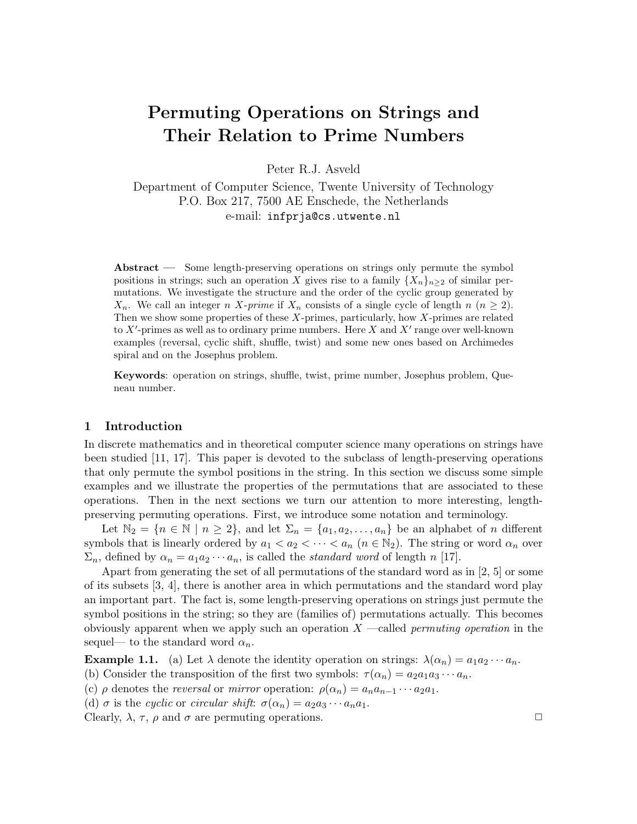# Permuting Operations on Strings and Their Relation to Prime Numbers

Peter R.J. Asveld

Department of Computer Science, Twente University of Technology P.O. Box 217, 7500 AE Enschede, the Netherlands e-mail: infprja@cs.utwente.nl

Abstract — Some length-preserving operations on strings only permute the symbol positions in strings; such an operation X gives rise to a family  $\{X_n\}_{n>2}$  of similar permutations. We investigate the structure and the order of the cyclic group generated by  $X_n$ . We call an integer n X-prime if  $X_n$  consists of a single cycle of length n  $(n \geq 2)$ . Then we show some properties of these  $X$ -primes, particularly, how  $X$ -primes are related to  $X'$ -primes as well as to ordinary prime numbers. Here  $X$  and  $X'$  range over well-known examples (reversal, cyclic shift, shuffle, twist) and some new ones based on Archimedes spiral and on the Josephus problem.

Keywords: operation on strings, shuffle, twist, prime number, Josephus problem, Queneau number.

# 1 Introduction

In discrete mathematics and in theoretical computer science many operations on strings have been studied [11, 17]. This paper is devoted to the subclass of length-preserving operations that only permute the symbol positions in the string. In this section we discuss some simple examples and we illustrate the properties of the permutations that are associated to these operations. Then in the next sections we turn our attention to more interesting, lengthpreserving permuting operations. First, we introduce some notation and terminology.

Let  $\mathbb{N}_2 = \{n \in \mathbb{N} \mid n \geq 2\}$ , and let  $\Sigma_n = \{a_1, a_2, \ldots, a_n\}$  be an alphabet of n different symbols that is linearly ordered by  $a_1 < a_2 < \cdots < a_n$   $(n \in \mathbb{N}_2)$ . The string or word  $\alpha_n$  over  $\Sigma_n$ , defined by  $\alpha_n = a_1 a_2 \cdots a_n$ , is called the *standard word* of length n [17].

Apart from generating the set of all permutations of the standard word as in [2, 5] or some of its subsets [3, 4], there is another area in which permutations and the standard word play an important part. The fact is, some length-preserving operations on strings just permute the symbol positions in the string; so they are (families of) permutations actually. This becomes obviously apparent when we apply such an operation  $X$  —called *permuting operation* in the sequel— to the standard word  $\alpha_n$ .

**Example 1.1.** (a) Let  $\lambda$  denote the identity operation on strings:  $\lambda(\alpha_n) = a_1 a_2 \cdots a_n$ .

(b) Consider the transposition of the first two symbols:  $\tau(\alpha_n) = a_2 a_1 a_3 \cdots a_n$ .

(c)  $\rho$  denotes the *reversal* or *mirror* operation:  $\rho(\alpha_n) = a_n a_{n-1} \cdots a_2 a_1$ .

(d)  $\sigma$  is the cyclic or circular shift:  $\sigma(\alpha_n) = a_2 a_3 \cdots a_n a_1$ .

Clearly,  $\lambda$ ,  $\tau$ ,  $\rho$  and  $\sigma$  are permuting operations.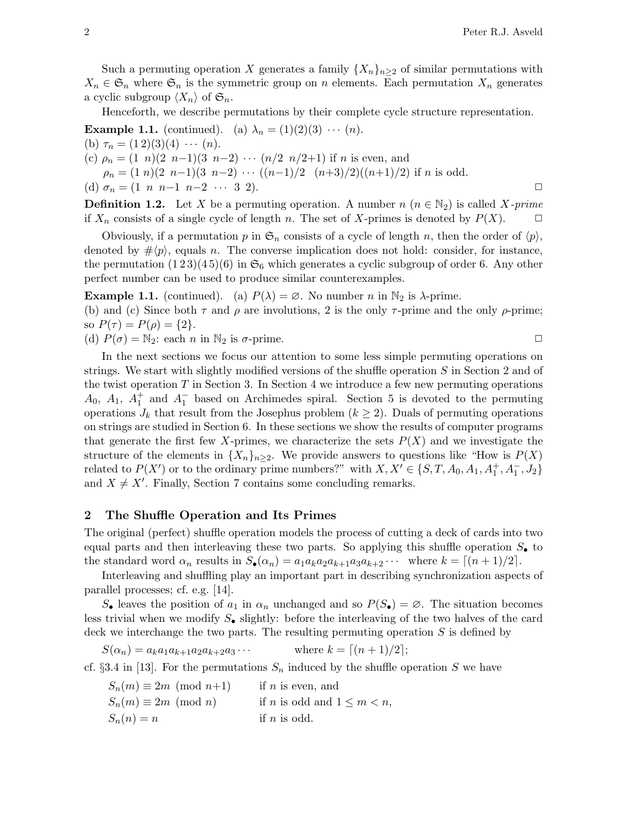Such a permuting operation X generates a family  $\{X_n\}_{n\geq 2}$  of similar permutations with  $X_n \in \mathfrak{S}_n$  where  $\mathfrak{S}_n$  is the symmetric group on n elements. Each permutation  $X_n$  generates a cyclic subgroup  $\langle X_n \rangle$  of  $\mathfrak{S}_n$ .

Henceforth, we describe permutations by their complete cycle structure representation.

**Example 1.1.** (continued). (a)  $\lambda_n = (1)(2)(3) \cdots (n)$ . (b)  $\tau_n = (1\,2)(3)(4) \cdots (n)$ . (c)  $\rho_n = (1 \ n)(2 \ n-1)(3 \ n-2) \ \cdots \ (n/2 \ n/2+1)$  if n is even, and  $\rho_n = (1 \ n)(2 \ n-1)(3 \ n-2) \ \cdots \ ((n-1)/2 \ (n+3)/2)((n+1)/2)$  if n is odd. (d)  $\sigma_n = (1 \ n \ n-1 \ n-2 \ \cdots \ 3 \ 2).$   $\Box$ 

**Definition 1.2.** Let X be a permuting operation. A number  $n (n \in \mathbb{N}_2)$  is called X-prime if  $X_n$  consists of a single cycle of length n. The set of X-primes is denoted by  $P(X)$ .  $\Box$ 

Obviously, if a permutation p in  $\mathfrak{S}_n$  consists of a cycle of length n, then the order of  $\langle p \rangle$ , denoted by  $\# \langle p \rangle$ , equals n. The converse implication does not hold: consider, for instance, the permutation  $(1\,2\,3)(4\,5)(6)$  in  $\mathfrak{S}_6$  which generates a cyclic subgroup of order 6. Any other perfect number can be used to produce similar counterexamples.

**Example 1.1.** (continued). (a)  $P(\lambda) = \emptyset$ . No number n in  $\mathbb{N}_2$  is  $\lambda$ -prime. (b) and (c) Since both  $\tau$  and  $\rho$  are involutions, 2 is the only  $\tau$ -prime and the only  $\rho$ -prime; so  $P(\tau) = P(\rho) = \{2\}.$ 

(d)  $P(\sigma) = N_2$ : each n in  $N_2$  is  $\sigma$ -prime.

In the next sections we focus our attention to some less simple permuting operations on strings. We start with slightly modified versions of the shuffle operation S in Section 2 and of the twist operation  $T$  in Section 3. In Section 4 we introduce a few new permuting operations  $A_0$ ,  $A_1$ ,  $A_1^+$  and  $A_1^-$  based on Archimedes spiral. Section 5 is devoted to the permuting operations  $J_k$  that result from the Josephus problem  $(k \geq 2)$ . Duals of permuting operations on strings are studied in Section 6. In these sections we show the results of computer programs that generate the first few X-primes, we characterize the sets  $P(X)$  and we investigate the structure of the elements in  $\{X_n\}_{n\geq 2}$ . We provide answers to questions like "How is  $P(X)$ " related to  $P(X')$  or to the ordinary prime numbers?" with  $X, X' \in \{S, T, A_0, A_1, A_1^+, A_1^-, J_2\}$ and  $X \neq X'$ . Finally, Section 7 contains some concluding remarks.

# 2 The Shuffle Operation and Its Primes

The original (perfect) shuffle operation models the process of cutting a deck of cards into two equal parts and then interleaving these two parts. So applying this shuffle operation  $S_{\bullet}$  to the standard word  $\alpha_n$  results in  $S_{\bullet}(\alpha_n) = a_1 a_k a_2 a_{k+1} a_3 a_{k+2} \cdots$  where  $k = \lfloor (n+1)/2 \rfloor$ .

Interleaving and shuffling play an important part in describing synchronization aspects of parallel processes; cf. e.g. [14].

 $S_{\bullet}$  leaves the position of  $a_1$  in  $\alpha_n$  unchanged and so  $P(S_{\bullet}) = \emptyset$ . The situation becomes less trivial when we modify  $S_{\bullet}$  slightly: before the interleaving of the two halves of the card deck we interchange the two parts. The resulting permuting operation  $S$  is defined by

 $S(\alpha_n) = a_k a_1 a_{k+1} a_2 a_{k+2} a_3 \cdots$  where  $k = \lceil (n+1)/2 \rceil$ ;

cf. §3.4 in [13]. For the permutations  $S_n$  induced by the shuffle operation S we have

 $S_n(m) \equiv 2m \pmod{n+1}$  if n is even, and  $S_n(m) \equiv 2m \pmod{n}$  if n is odd and  $1 \leq m < n$ ,  $S_n(n) = n$  if n is odd.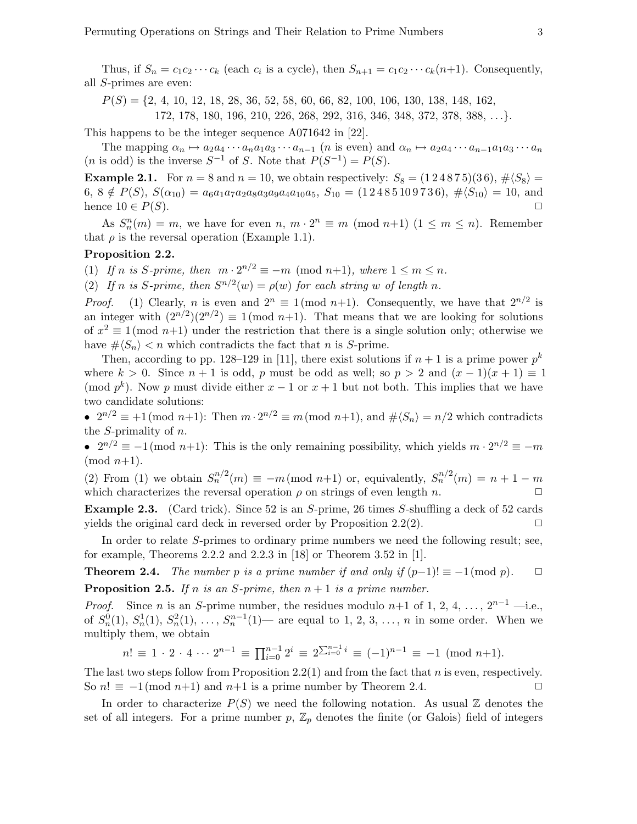Thus, if  $S_n = c_1 c_2 \cdots c_k$  (each  $c_i$  is a cycle), then  $S_{n+1} = c_1 c_2 \cdots c_k (n+1)$ . Consequently, all S-primes are even:

 $P(S) = \{2, 4, 10, 12, 18, 28, 36, 52, 58, 60, 66, 82, 100, 106, 130, 138, 148, 162,$ 

172, 178, 180, 196, 210, 226, 268, 292, 316, 346, 348, 372, 378, 388, . . .}.

This happens to be the integer sequence A071642 in [22].

The mapping  $\alpha_n \mapsto a_2a_4 \cdots a_na_1a_3 \cdots a_{n-1}$  (*n* is even) and  $\alpha_n \mapsto a_2a_4 \cdots a_{n-1}a_1a_3 \cdots a_n$ (*n* is odd) is the inverse  $S^{-1}$  of S. Note that  $P(S^{-1}) = P(S)$ .

**Example 2.1.** For  $n = 8$  and  $n = 10$ , we obtain respectively:  $S_8 = (1\,2\,4\,8\,7\,5)(3\,6), \# \langle S_8 \rangle =$ 6,  $8 \notin P(S)$ ,  $S(\alpha_{10}) = a_6a_1a_7a_2a_8a_3a_9a_4a_{10}a_5$ ,  $S_{10} = (1\,2\,4\,8\,5\,10\,9\,7\,3\,6)$ ,  $\# \langle S_{10} \rangle = 10$ , and hence  $10 \in P(S)$ .

As  $S_n^n(m) = m$ , we have for even  $n, m \cdot 2^n \equiv m \pmod{n+1}$   $(1 \leq m \leq n)$ . Remember that  $\rho$  is the reversal operation (Example 1.1).

#### Proposition 2.2.

(1) If n is S-prime, then  $m \cdot 2^{n/2} \equiv -m \pmod{n+1}$ , where  $1 \le m \le n$ .

(2) If n is S-prime, then  $S^{n/2}(w) = \rho(w)$  for each string w of length n.

*Proof.* (1) Clearly, *n* is even and  $2^n \equiv 1 \pmod{n+1}$ . Consequently, we have that  $2^{n/2}$  is an integer with  $(2^{n/2})(2^{n/2}) \equiv 1 \pmod{n+1}$ . That means that we are looking for solutions of  $x^2 \equiv 1 \pmod{n+1}$  under the restriction that there is a single solution only; otherwise we have  $\# \langle S_n \rangle < n$  which contradicts the fact that *n* is *S*-prime.

Then, according to pp. 128–129 in [11], there exist solutions if  $n + 1$  is a prime power  $p^k$ where  $k > 0$ . Since  $n + 1$  is odd, p must be odd as well; so  $p > 2$  and  $(x - 1)(x + 1) \equiv 1$ (mod  $p^k$ ). Now p must divide either  $x-1$  or  $x+1$  but not both. This implies that we have two candidate solutions:

•  $2^{n/2} \equiv +1 \pmod{n+1}$ : Then  $m \cdot 2^{n/2} \equiv m \pmod{n+1}$ , and  $\# \langle S_n \rangle = n/2$  which contradicts the *S*-primality of *n*.

•  $2^{n/2} \equiv -1 \pmod{n+1}$ : This is the only remaining possibility, which yields  $m \cdot 2^{n/2} \equiv -m$  $(mod n+1).$ 

(2) From (1) we obtain  $S_n^{n/2}(m) \equiv -m \pmod{n+1}$  or, equivalently,  $S_n^{n/2}(m) = n+1-m$ which characterizes the reversal operation  $\rho$  on strings of even length n.  $\Box$ 

Example 2.3. (Card trick). Since 52 is an S-prime, 26 times S-shuffling a deck of 52 cards yields the original card deck in reversed order by Proposition 2.2(2).  $\Box$ 

In order to relate S-primes to ordinary prime numbers we need the following result; see, for example, Theorems 2.2.2 and 2.2.3 in [18] or Theorem 3.52 in [1].

**Theorem 2.4.** The number p is a prime number if and only if  $(p-1)! \equiv -1 \pmod{p}$ .  $\Box$ **Proposition 2.5.** If n is an S-prime, then  $n + 1$  is a prime number.

*Proof.* Since *n* is an *S*-prime number, the residues modulo *n*+1 of 1, 2, 4, ...,  $2^{n-1}$  —i.e., of  $S_n^0(1)$ ,  $S_n^1(1)$ ,  $S_n^2(1)$ , ...,  $S_n^{n-1}(1)$  are equal to 1, 2, 3, ..., n in some order. When we multiply them, we obtain

$$
n! \equiv 1 \cdot 2 \cdot 4 \cdots 2^{n-1} \equiv \prod_{i=0}^{n-1} 2^i \equiv 2^{\sum_{i=0}^{n-1} i} \equiv (-1)^{n-1} \equiv -1 \pmod{n+1}.
$$

The last two steps follow from Proposition 2.2(1) and from the fact that n is even, respectively. So  $n! \equiv -1 \pmod{n+1}$  and  $n+1$  is a prime number by Theorem 2.4.

In order to characterize  $P(S)$  we need the following notation. As usual Z denotes the set of all integers. For a prime number  $p, \mathbb{Z}_p$  denotes the finite (or Galois) field of integers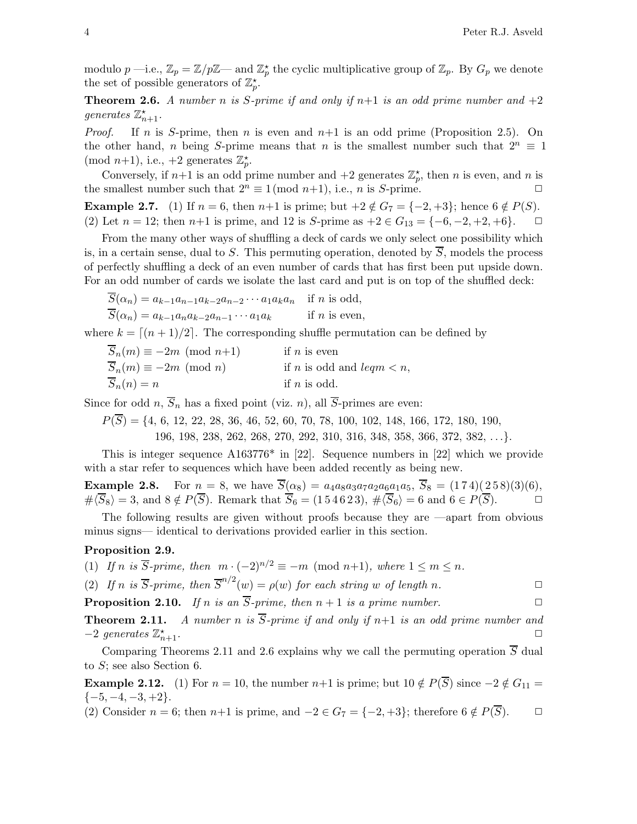modulo  $p$  —i.e.,  $\mathbb{Z}_p = \mathbb{Z}/p\mathbb{Z}$ — and  $\mathbb{Z}_p^{\star}$  the cyclic multiplicative group of  $\mathbb{Z}_p$ . By  $G_p$  we denote the set of possible generators of  $\mathbb{Z}_p^*$ .

**Theorem 2.6.** A number n is S-prime if and only if  $n+1$  is an odd prime number and  $+2$ generates  $\mathbb{Z}_{n+1}^{\star}$ .

*Proof.* If n is S-prime, then n is even and  $n+1$  is an odd prime (Proposition 2.5). On the other hand, n being S-prime means that n is the smallest number such that  $2^n \equiv 1$ (mod  $n+1$ ), i.e.,  $+2$  generates  $\mathbb{Z}_p^*$ .

Conversely, if  $n+1$  is an odd prime number and  $+2$  generates  $\mathbb{Z}_p^*$ , then n is even, and n is the smallest number such that  $2^n \equiv 1 \pmod{n+1}$ , i.e., *n* is *S*-prime.

**Example 2.7.** (1) If  $n = 6$ , then  $n+1$  is prime; but  $+2 \notin G_7 = \{-2, +3\}$ ; hence  $6 \notin P(S)$ . (2) Let  $n = 12$ ; then  $n+1$  is prime, and 12 is S-prime as  $+2 \in G_{13} = \{-6, -2, +2, +6\}$ .  $\Box$ 

From the many other ways of shuffling a deck of cards we only select one possibility which is, in a certain sense, dual to S. This permuting operation, denoted by  $\overline{S}$ , models the process of perfectly shuffling a deck of an even number of cards that has first been put upside down. For an odd number of cards we isolate the last card and put is on top of the shuffled deck:

$$
\overline{S}(\alpha_n) = a_{k-1}a_{n-1}a_{k-2}a_{n-2}\cdots a_1a_ka_n \quad \text{if } n \text{ is odd},
$$
  
\n
$$
\overline{S}(\alpha_n) = a_{k-1}a_na_{k-2}a_{n-1}\cdots a_1a_k \quad \text{if } n \text{ is even},
$$

where  $k = \lfloor (n+1)/2 \rfloor$ . The corresponding shuffle permutation can be defined by

| $S_n(m) \equiv -2m \pmod{n+1}$ | if $n$ is even                               |
|--------------------------------|----------------------------------------------|
| $S_n(m) \equiv -2m \pmod{n}$   | if <i>n</i> is odd and <i>leqm</i> $\lt n$ , |
| $S_n(n) = n$                   | if $n$ is odd.                               |

Since for odd n,  $\overline{S}_n$  has a fixed point (viz. n), all  $\overline{S}$ -primes are even:

 $P(\overline{S}) = \{4, 6, 12, 22, 28, 36, 46, 52, 60, 70, 78, 100, 102, 148, 166, 172, 180, 190,$ 196, 198, 238, 262, 268, 270, 292, 310, 316, 348, 358, 366, 372, 382, . . .}.

This is integer sequence A163776\* in [22]. Sequence numbers in [22] which we provide with a star refer to sequences which have been added recently as being new.

**Example 2.8.** For  $n = 8$ , we have  $\overline{S}(\alpha_8) = a_4 a_8 a_3 a_7 a_2 a_6 a_1 a_5$ ,  $\overline{S}_8 = (174)(258)(3)(6)$ ,  $\overline{\langle S_8\rangle} = 3$ , and  $8 \notin P(\overline{S})$ . Remark that  $S_6 = (154623), \overline{\langle S_6\rangle} = 6$  and  $6 \in P(\overline{S})$ .

The following results are given without proofs because they are —apart from obvious minus signs— identical to derivations provided earlier in this section.

## Proposition 2.9.

(1) If n is  $\overline{S}$ -prime, then  $m \cdot (-2)^{n/2} \equiv -m \pmod{n+1}$ , where  $1 \le m \le n$ .

(2) If n is  $\overline{S}$ -prime, then  $\overline{S}^{n/2}(w) = \rho(w)$  for each string w of length n.

**Proposition 2.10.** If n is an  $\overline{S}$ -prime, then  $n + 1$  is a prime number.

**Theorem 2.11.** A number n is  $\overline{S}$ -prime if and only if n+1 is an odd prime number and  $-2$  generates  $\mathbb{Z}_n^*$  $n+1$ .

Comparing Theorems 2.11 and 2.6 explains why we call the permuting operation  $\overline{S}$  dual to S; see also Section 6.

**Example 2.12.** (1) For  $n = 10$ , the number  $n+1$  is prime; but  $10 \notin P(\overline{S})$  since  $-2 \notin G_{11} =$  $\{-5, -4, -3, +2\}.$ 

(2) Consider  $n = 6$ ; then  $n+1$  is prime, and  $-2 \in G_7 = \{-2, +3\}$ ; therefore  $6 \notin P(\overline{S})$ .  $\Box$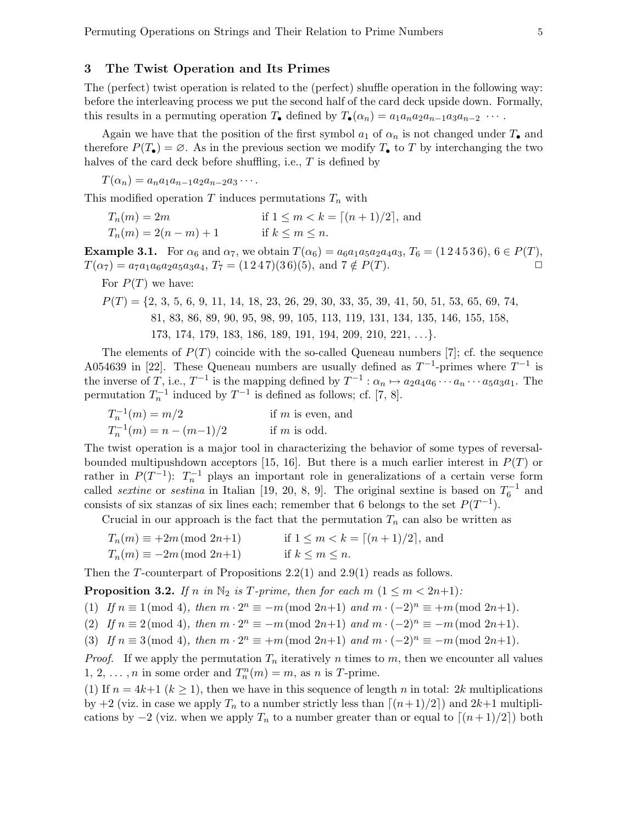## 3 The Twist Operation and Its Primes

The (perfect) twist operation is related to the (perfect) shuffle operation in the following way: before the interleaving process we put the second half of the card deck upside down. Formally, this results in a permuting operation  $T_{\bullet}$  defined by  $T_{\bullet}(\alpha_n) = a_1 a_n a_2 a_{n-1} a_3 a_{n-2} \cdots$ .

Again we have that the position of the first symbol  $a_1$  of  $\alpha_n$  is not changed under  $T_{\bullet}$  and therefore  $P(T_{\bullet}) = \emptyset$ . As in the previous section we modify  $T_{\bullet}$  to T by interchanging the two halves of the card deck before shuffling, i.e., T is defined by

 $T(\alpha_n) = a_n a_1 a_{n-1} a_2 a_{n-2} a_3 \cdots$ 

This modified operation T induces permutations  $T_n$  with

| $T_n(m)=2m$           | if $1 \le m < k = [(n+1)/2]$ , and |
|-----------------------|------------------------------------|
| $T_n(m) = 2(n-m) + 1$ | if $k \leq m \leq n$ .             |

**Example 3.1.** For  $\alpha_6$  and  $\alpha_7$ , we obtain  $T(\alpha_6) = a_6a_1a_5a_2a_4a_3$ ,  $T_6 = (1\,2\,4\,5\,3\,6)$ ,  $6 \in P(T)$ ,  $T(\alpha_7) = a_7a_1a_6a_2a_5a_3a_4$ ,  $T_7 = (1\,2\,4\,7)(3\,6)(5)$ , and  $7 \notin P(T)$ .

For  $P(T)$  we have:

 $P(T) = \{2, 3, 5, 6, 9, 11, 14, 18, 23, 26, 29, 30, 33, 35, 39, 41, 50, 51, 53, 65, 69, 74,$ 81, 83, 86, 89, 90, 95, 98, 99, 105, 113, 119, 131, 134, 135, 146, 155, 158, 173, 174, 179, 183, 186, 189, 191, 194, 209, 210, 221, . . .}.

The elements of  $P(T)$  coincide with the so-called Queneau numbers [7]; cf. the sequence A054639 in [22]. These Queneau numbers are usually defined as  $T^{-1}$ -primes where  $T^{-1}$  is the inverse of T, i.e.,  $T^{-1}$  is the mapping defined by  $T^{-1}$  :  $\alpha_n \mapsto a_2 a_4 a_6 \cdots a_n \cdots a_5 a_3 a_1$ . The permutation  $T_n^{-1}$  induced by  $T^{-1}$  is defined as follows; cf. [7, 8].

 $T_n^{-1}(m) = m/2$  if m is even, and  $T_n^{-1}(m) = n - (m-1)/2$  if m is odd.

The twist operation is a major tool in characterizing the behavior of some types of reversalbounded multipushdown acceptors [15, 16]. But there is a much earlier interest in  $P(T)$  or rather in  $P(T^{-1})$ :  $T_n^{-1}$  plays an important role in generalizations of a certain verse form called *sextine* or *sestina* in Italian [19, 20, 8, 9]. The original sextine is based on  $T_6^{-1}$  and consists of six stanzas of six lines each; remember that 6 belongs to the set  $P(T^{-1})$ .

Crucial in our approach is the fact that the permutation  $T_n$  can also be written as

$$
T_n(m) \equiv +2m \pmod{2n+1} \qquad \text{if } 1 \le m < k = \lceil (n+1)/2 \rceil, \text{ and}
$$
  

$$
T_n(m) \equiv -2m \pmod{2n+1} \qquad \text{if } k \le m \le n.
$$

Then the T-counterpart of Propositions 2.2(1) and 2.9(1) reads as follows.

**Proposition 3.2.** If n in  $\mathbb{N}_2$  is T-prime, then for each m  $(1 \leq m < 2n+1)$ :

(1) If  $n \equiv 1 \pmod{4}$ , then  $m \cdot 2^n \equiv -m \pmod{2n+1}$  and  $m \cdot (-2)^n \equiv +m \pmod{2n+1}$ .

(2) If  $n \equiv 2 \pmod{4}$ , then  $m \cdot 2^n \equiv -m \pmod{2n+1}$  and  $m \cdot (-2)^n \equiv -m \pmod{2n+1}$ .

(3) If  $n \equiv 3 \pmod{4}$ , then  $m \cdot 2^n \equiv +m \pmod{2n+1}$  and  $m \cdot (-2)^n \equiv -m \pmod{2n+1}$ .

*Proof.* If we apply the permutation  $T_n$  iteratively n times to m, then we encounter all values 1, 2, ..., *n* in some order and  $T_n^n(m) = m$ , as *n* is *T*-prime.

(1) If  $n = 4k+1$   $(k \ge 1)$ , then we have in this sequence of length n in total: 2k multiplications by  $+2$  (viz. in case we apply  $T_n$  to a number strictly less than  $\lceil (n+1)/2 \rceil$ ) and  $2k+1$  multiplications by  $-2$  (viz. when we apply  $T_n$  to a number greater than or equal to  $\lceil (n+1)/2 \rceil$ ) both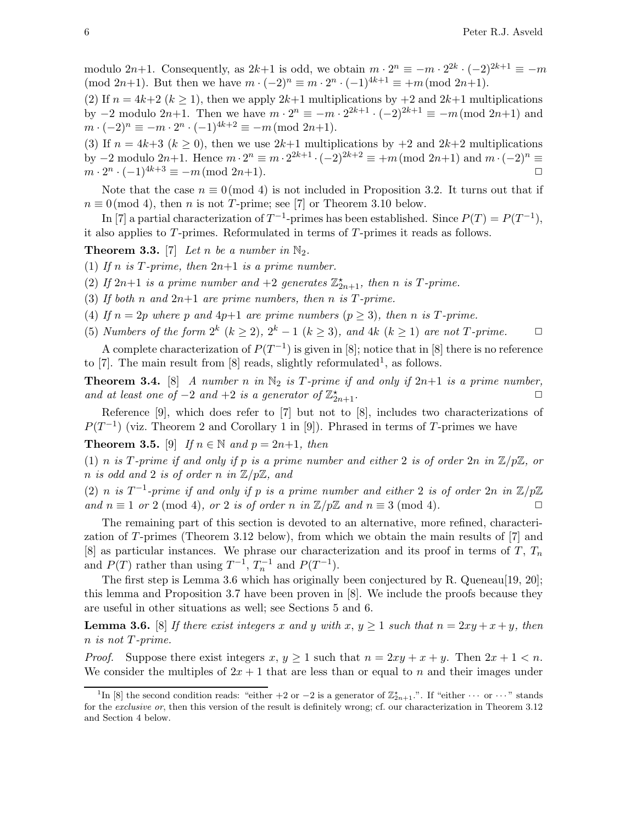modulo  $2n+1$ . Consequently, as  $2k+1$  is odd, we obtain  $m \cdot 2^n \equiv -m \cdot 2^{2k} \cdot (-2)^{2k+1} \equiv -m$ (mod 2n+1). But then we have  $m \cdot (-2)^n \equiv m \cdot 2^n \cdot (-1)^{4k+1} \equiv +m \pmod{2n+1}$ .

(2) If  $n = 4k+2$  ( $k \ge 1$ ), then we apply  $2k+1$  multiplications by  $+2$  and  $2k+1$  multiplications by  $-2$  modulo  $2n+1$ . Then we have  $m \cdot 2^n \equiv -m \cdot 2^{2k+1} \cdot (-2)^{2k+1} \equiv -m \pmod{2n+1}$  and  $m \cdot (-2)^n \equiv -m \cdot 2^n \cdot (-1)^{4k+2} \equiv -m \pmod{2n+1}.$ 

(3) If  $n = 4k+3$  ( $k \ge 0$ ), then we use  $2k+1$  multiplications by  $+2$  and  $2k+2$  multiplications by  $-2$  modulo  $2n+1$ . Hence  $m \cdot 2^n \equiv m \cdot 2^{2k+1} \cdot (-2)^{2k+2} \equiv +m \pmod{2n+1}$  and  $m \cdot (-2)^n \equiv$  $m \cdot 2^n \cdot (-1)^{4k+3} \equiv -m \pmod{2n+1}.$ 

Note that the case  $n \equiv 0 \pmod{4}$  is not included in Proposition 3.2. It turns out that if  $n \equiv 0 \pmod{4}$ , then *n* is not *T*-prime; see [7] or Theorem 3.10 below.

In [7] a partial characterization of  $T^{-1}$ -primes has been established. Since  $P(T) = P(T^{-1})$ , it also applies to T-primes. Reformulated in terms of T-primes it reads as follows.

**Theorem 3.3.** [7] Let n be a number in  $\mathbb{N}_2$ .

- (1) If n is T-prime, then  $2n+1$  is a prime number.
- (2) If  $2n+1$  is a prime number and  $+2$  generates  $\mathbb{Z}_{2n+1}^{\star}$ , then n is T-prime.
- (3) If both n and  $2n+1$  are prime numbers, then n is T-prime.
- (4) If  $n = 2p$  where p and  $4p+1$  are prime numbers  $(p \ge 3)$ , then n is T-prime.
- (5) Numbers of the form  $2^k$   $(k \geq 2)$ ,  $2^k 1$   $(k \geq 3)$ , and  $4k$   $(k \geq 1)$  are not T-prime.  $\Box$

A complete characterization of  $P(T^{-1})$  is given in [8]; notice that in [8] there is no reference to [7]. The main result from [8] reads, slightly reformulated<sup>1</sup>, as follows.

**Theorem 3.4.** [8] A number n in  $\mathbb{N}_2$  is T-prime if and only if  $2n+1$  is a prime number, and at least one of  $-2$  and  $+2$  is a generator of  $\mathbb{Z}_2^*$  $x_{2n+1}$ .

Reference [9], which does refer to [7] but not to [8], includes two characterizations of  $P(T^{-1})$  (viz. Theorem 2 and Corollary 1 in [9]). Phrased in terms of T-primes we have

**Theorem 3.5.** [9] If  $n \in \mathbb{N}$  and  $p = 2n+1$ , then

(1) n is T-prime if and only if p is a prime number and either 2 is of order  $2n$  in  $\mathbb{Z}/p\mathbb{Z}$ , or n is odd and 2 is of order n in  $\mathbb{Z}/p\mathbb{Z}$ , and

(2) n is  $T^{-1}$ -prime if and only if p is a prime number and either 2 is of order  $2n$  in  $\mathbb{Z}/p\mathbb{Z}$ and  $n \equiv 1$  or 2 (mod 4), or 2 is of order n in  $\mathbb{Z}/p\mathbb{Z}$  and  $n \equiv 3 \pmod{4}$ .

The remaining part of this section is devoted to an alternative, more refined, characterization of T-primes (Theorem 3.12 below), from which we obtain the main results of [7] and [8] as particular instances. We phrase our characterization and its proof in terms of  $T$ ,  $T_n$ and  $P(T)$  rather than using  $T^{-1}$ ,  $T_n^{-1}$  and  $P(T^{-1})$ .

The first step is Lemma 3.6 which has originally been conjectured by R. Queneau[19, 20]; this lemma and Proposition 3.7 have been proven in [8]. We include the proofs because they are useful in other situations as well; see Sections 5 and 6.

**Lemma 3.6.** [8] If there exist integers x and y with x,  $y \ge 1$  such that  $n = 2xy + x + y$ , then n is not T-prime.

*Proof.* Suppose there exist integers  $x, y \ge 1$  such that  $n = 2xy + x + y$ . Then  $2x + 1 < n$ . We consider the multiples of  $2x + 1$  that are less than or equal to n and their images under

<sup>&</sup>lt;sup>1</sup>In [8] the second condition reads: "either +2 or -2 is a generator of  $\mathbb{Z}_{2n+1}^*$ .". If "either  $\cdots$  or  $\cdots$ " stands for the exclusive or, then this version of the result is definitely wrong; cf. our characterization in Theorem 3.12 and Section 4 below.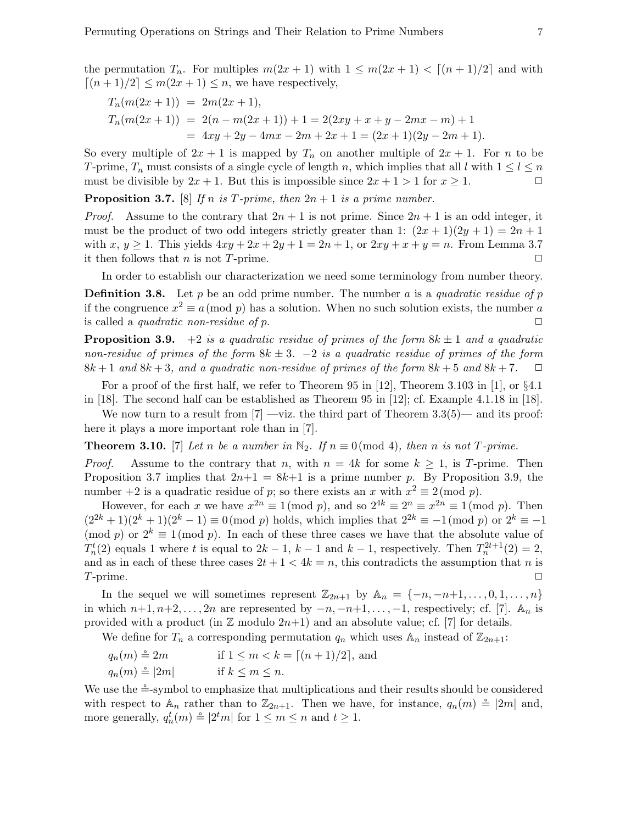$$
T_n(m(2x+1)) = 2m(2x+1),
$$
  
\n
$$
T_n(m(2x+1)) = 2(n-m(2x+1)) + 1 = 2(2xy + x + y - 2mx - m) + 1
$$
  
\n
$$
= 4xy + 2y - 4mx - 2m + 2x + 1 = (2x+1)(2y - 2m + 1).
$$

So every multiple of  $2x + 1$  is mapped by  $T_n$  on another multiple of  $2x + 1$ . For n to be T-prime,  $T_n$  must consists of a single cycle of length n, which implies that all l with  $1 \leq l \leq n$ must be divisible by  $2x + 1$ . But this is impossible since  $2x + 1 > 1$  for  $x \ge 1$ .

**Proposition 3.7.** [8] If n is T-prime, then  $2n + 1$  is a prime number.

*Proof.* Assume to the contrary that  $2n + 1$  is not prime. Since  $2n + 1$  is an odd integer, it must be the product of two odd integers strictly greater than 1:  $(2x+1)(2y+1) = 2n+1$ with x,  $y \ge 1$ . This yields  $4xy + 2x + 2y + 1 = 2n + 1$ , or  $2xy + x + y = n$ . From Lemma 3.7 it then follows that *n* is not *T*-prime.  $\Box$ 

In order to establish our characterization we need some terminology from number theory.

**Definition 3.8.** Let p be an odd prime number. The number a is a quadratic residue of p if the congruence  $x^2 \equiv a \pmod{p}$  has a solution. When no such solution exists, the number a is called a *quadratic non-residue of p*.  $\Box$ 

**Proposition 3.9.** +2 is a quadratic residue of primes of the form  $8k \pm 1$  and a quadratic non-residue of primes of the form  $8k \pm 3$ .  $-2$  is a quadratic residue of primes of the form  $8k+1$  and  $8k+3$ , and a quadratic non-residue of primes of the form  $8k+5$  and  $8k+7$ .  $\Box$ 

For a proof of the first half, we refer to Theorem 95 in [12], Theorem 3.103 in [1], or §4.1 in [18]. The second half can be established as Theorem 95 in [12]; cf. Example 4.1.18 in [18].

We now turn to a result from  $[7]$  —viz. the third part of Theorem 3.3(5)— and its proof: here it plays a more important role than in [7].

**Theorem 3.10.** [7] Let n be a number in  $\mathbb{N}_2$ . If  $n \equiv 0 \pmod{4}$ , then n is not T-prime.

*Proof.* Assume to the contrary that n, with  $n = 4k$  for some  $k \ge 1$ , is T-prime. Then Proposition 3.7 implies that  $2n+1 = 8k+1$  is a prime number p. By Proposition 3.9, the number  $+2$  is a quadratic residue of p; so there exists an x with  $x^2 \equiv 2 \pmod{p}$ .

However, for each x we have  $x^{2n} \equiv 1 \pmod{p}$ , and so  $2^{4k} \equiv 2^n \equiv x^{2n} \equiv 1 \pmod{p}$ . Then  $(2^{2k}+1)(2^k+1)(2^k-1) \equiv 0 \pmod{p}$  holds, which implies that  $2^{2k} \equiv -1 \pmod{p}$  or  $2^k \equiv -1$ (mod p) or  $2^k \equiv 1 \pmod{p}$ . In each of these three cases we have that the absolute value of  $T_n^t(2)$  equals 1 where t is equal to  $2k-1$ ,  $k-1$  and  $k-1$ , respectively. Then  $T_n^{2t+1}(2) = 2$ , and as in each of these three cases  $2t + 1 < 4k = n$ , this contradicts the assumption that n is  $T$ -prime.

In the sequel we will sometimes represent  $\mathbb{Z}_{2n+1}$  by  $\mathbb{A}_n = \{-n, -n+1, \ldots, 0, 1, \ldots, n\}$ in which  $n+1, n+2, \ldots, 2n$  are represented by  $-n, -n+1, \ldots, -1$ , respectively; cf. [7].  $\mathbb{A}_n$  is provided with a product (in  $\mathbb Z$  modulo  $2n+1$ ) and an absolute value; cf. [7] for details.

We define for  $T_n$  a corresponding permutation  $q_n$  which uses  $\mathbb{A}_n$  instead of  $\mathbb{Z}_{2n+1}$ :

$$
q_n(m) \stackrel{\circ}{=} 2m \qquad \text{if } 1 \le m < k = \lceil (n+1)/2 \rceil, \text{ and}
$$
\n
$$
q_n(m) \stackrel{\circ}{=} |2m| \qquad \text{if } k \le m \le n.
$$

We use the  $\triangleq$ -symbol to emphasize that multiplications and their results should be considered with respect to  $\mathbb{A}_n$  rather than to  $\mathbb{Z}_{2n+1}$ . Then we have, for instance,  $q_n(m) \triangleq |2m|$  and, more generally,  $q_n^t(m) \triangleq |2^t m|$  for  $1 \le m \le n$  and  $t \ge 1$ .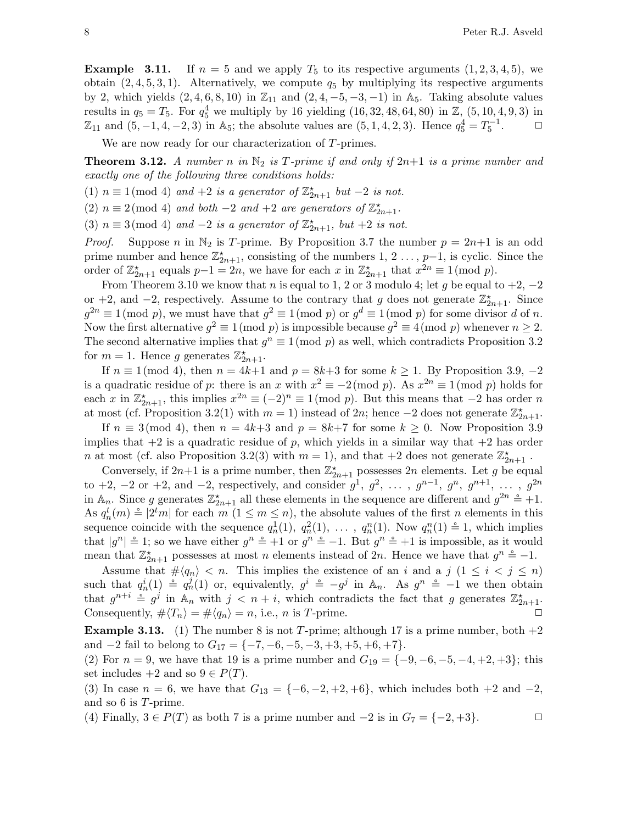**Example 3.11.** If  $n = 5$  and we apply  $T_5$  to its respective arguments  $(1, 2, 3, 4, 5)$ , we obtain  $(2, 4, 5, 3, 1)$ . Alternatively, we compute  $q_5$  by multiplying its respective arguments by 2, which yields  $(2, 4, 6, 8, 10)$  in  $\mathbb{Z}_{11}$  and  $(2, 4, -5, -3, -1)$  in A<sub>5</sub>. Taking absolute values results in  $q_5 = T_5$ . For  $q_5^4$  we multiply by 16 yielding  $(16, 32, 48, 64, 80)$  in  $\mathbb{Z}, (5, 10, 4, 9, 3)$  in  $\mathbb{Z}_{11}$  and  $(5, -1, 4, -2, 3)$  in A<sub>5</sub>; the absolute values are  $(5, 1, 4, 2, 3)$ . Hence  $q_5^4 = T_5^{-1}$  $\Box$ 

We are now ready for our characterization of T-primes.

**Theorem 3.12.** A number n in  $\mathbb{N}_2$  is T-prime if and only if  $2n+1$  is a prime number and exactly one of the following three conditions holds:

(1)  $n \equiv 1 \pmod{4}$  and  $+2$  is a generator of  $\mathbb{Z}_{2n+1}^{\star}$  but  $-2$  is not.

(2)  $n \equiv 2 \pmod{4}$  and both  $-2$  and  $+2$  are generators of  $\mathbb{Z}_{2n+1}^{\star}$ .

(3)  $n \equiv 3 \pmod{4}$  and  $-2$  is a generator of  $\mathbb{Z}_{2n+1}^{\star}$ , but  $+2$  is not.

*Proof.* Suppose n in  $\mathbb{N}_2$  is T-prime. By Proposition 3.7 the number  $p = 2n+1$  is an odd prime number and hence  $\mathbb{Z}_{2n+1}^{\star}$ , consisting of the numbers 1, 2 ..., p-1, is cyclic. Since the order of  $\mathbb{Z}_{2n+1}^{\star}$  equals  $p-1=2n$ , we have for each x in  $\mathbb{Z}_{2n+1}^{\star}$  that  $x^{2n}\equiv 1\pmod{p}$ .

From Theorem 3.10 we know that n is equal to 1, 2 or 3 modulo 4; let g be equal to  $+2$ ,  $-2$ or +2, and -2, respectively. Assume to the contrary that g does not generate  $\mathbb{Z}_{2n+1}^{\star}$ . Since  $g^{2n} \equiv 1 \pmod{p}$ , we must have that  $g^2 \equiv 1 \pmod{p}$  or  $g^d \equiv 1 \pmod{p}$  for some divisor d of n. Now the first alternative  $g^2 \equiv 1 \pmod{p}$  is impossible because  $g^2 \equiv 4 \pmod{p}$  whenever  $n \geq 2$ . The second alternative implies that  $g^n \equiv 1 \pmod{p}$  as well, which contradicts Proposition 3.2 for  $m = 1$ . Hence g generates  $\mathbb{Z}_{2n+1}^{\star}$ .

If  $n \equiv 1 \pmod{4}$ , then  $n = 4k+1$  and  $p = 8k+3$  for some  $k \ge 1$ . By Proposition 3.9, -2 is a quadratic residue of p: there is an x with  $x^2 \equiv -2 \pmod{p}$ . As  $x^{2n} \equiv 1 \pmod{p}$  holds for each x in  $\mathbb{Z}_{2n+1}^*$ , this implies  $x^{2n} \equiv (-2)^n \equiv 1 \pmod{p}$ . But this means that  $-2$  has order n at most (cf. Proposition 3.2(1) with  $m = 1$ ) instead of 2n; hence -2 does not generate  $\mathbb{Z}_{2n+1}^{\star}$ .

If  $n \equiv 3 \pmod{4}$ , then  $n = 4k+3$  and  $p = 8k+7$  for some  $k \ge 0$ . Now Proposition 3.9 implies that  $+2$  is a quadratic residue of p, which yields in a similar way that  $+2$  has order n at most (cf. also Proposition 3.2(3) with  $m = 1$ ), and that  $+2$  does not generate  $\mathbb{Z}_{2n+1}^{\star}$ .

Conversely, if  $2n+1$  is a prime number, then  $\mathbb{Z}_{2n+1}^{\star}$  possesses  $2n$  elements. Let g be equal to +2, -2 or +2, and -2, respectively, and consider  $g^1, g^2, \ldots, g^{n-1}, g^n, g^{n+1}, \ldots, g^{2n}$ in  $\mathbb{A}_n$ . Since g generates  $\mathbb{Z}_{2n+1}^*$  all these elements in the sequence are different and  $g^{2n} \triangleq +1$ . As  $q_n^t(m) \triangleq |2^t m|$  for each  $m (1 \leq m \leq n)$ , the absolute values of the first n elements in this sequence coincide with the sequence  $q_n^1(1)$ ,  $q_n^2(1)$ , ...,  $q_n^n(1)$ . Now  $q_n^n(1) \triangleq 1$ , which implies that  $|g^n| \stackrel{\circ}{=} 1$ ; so we have either  $g^n \stackrel{\circ}{=} +1$  or  $g^n \stackrel{\circ}{=} -1$ . But  $g^n \stackrel{\circ}{=} +1$  is impossible, as it would mean that  $\mathbb{Z}_{2n+1}^{\star}$  possesses at most n elements instead of 2n. Hence we have that  $g^{n} \doteq -1$ .

Assume that  $\# \langle q_n \rangle < n$ . This implies the existence of an i and a j  $(1 \leq i \leq j \leq n)$ such that  $q_n^i(1) \triangleq q_n^j(1)$  or, equivalently,  $g^i \triangleq -g^j$  in  $\mathbb{A}_n$ . As  $g^n \triangleq -1$  we then obtain that  $g^{n+i} \triangleq g^j$  in  $\mathbb{A}_n$  with  $j \leq n+i$ , which contradicts the fact that g generates  $\mathbb{Z}_{2n+1}^{\star}$ . Consequently,  $\# \langle T_n \rangle = \# \langle q_n \rangle = n$ , i.e., *n* is *T*-prime.

**Example 3.13.** (1) The number 8 is not T-prime; although 17 is a prime number, both  $+2$ and  $-2$  fail to belong to  $G_{17} = \{-7, -6, -5, -3, +3, +5, +6, +7\}.$ 

(2) For  $n = 9$ , we have that 19 is a prime number and  $G_{19} = \{-9, -6, -5, -4, +2, +3\}$ ; this set includes  $+2$  and so  $9 \in P(T)$ .

(3) In case  $n = 6$ , we have that  $G_{13} = \{-6, -2, +2, +6\}$ , which includes both  $+2$  and  $-2$ , and so 6 is T-prime.

(4) Finally,  $3 \in P(T)$  as both 7 is a prime number and  $-2$  is in  $G_7 = \{-2, +3\}$ .  $\Box$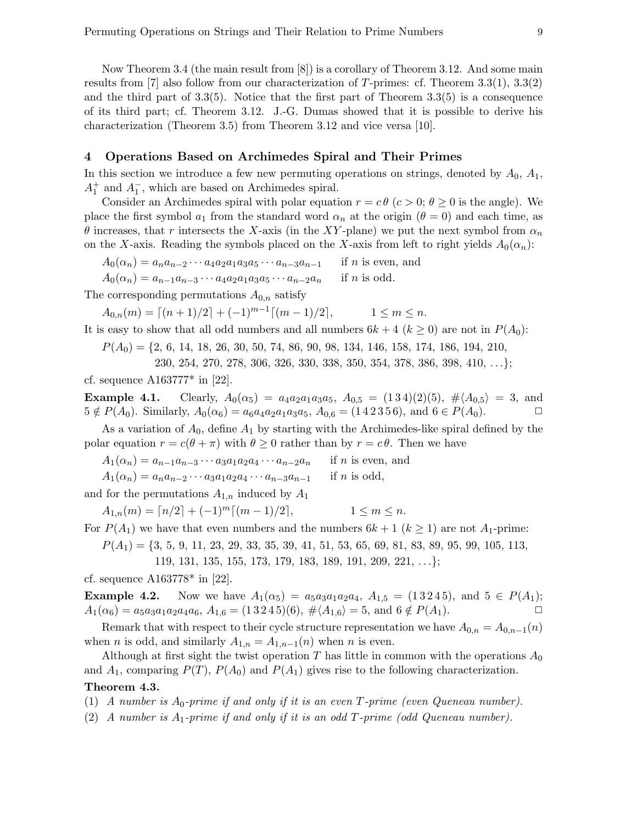Now Theorem 3.4 (the main result from [8]) is a corollary of Theorem 3.12. And some main results from [7] also follow from our characterization of T-primes: cf. Theorem  $3.3(1)$ ,  $3.3(2)$ and the third part of 3.3(5). Notice that the first part of Theorem 3.3(5) is a consequence of its third part; cf. Theorem 3.12. J.-G. Dumas showed that it is possible to derive his characterization (Theorem 3.5) from Theorem 3.12 and vice versa [10].

# 4 Operations Based on Archimedes Spiral and Their Primes

In this section we introduce a few new permuting operations on strings, denoted by  $A_0$ ,  $A_1$ ,  $A_1^+$  and  $A_1^-$ , which are based on Archimedes spiral.

Consider an Archimedes spiral with polar equation  $r = c \theta$  ( $c > 0$ ;  $\theta \ge 0$  is the angle). We place the first symbol  $a_1$  from the standard word  $\alpha_n$  at the origin  $(\theta = 0)$  and each time, as θ increases, that r intersects the X-axis (in the XY-plane) we put the next symbol from  $α_n$ on the X-axis. Reading the symbols placed on the X-axis from left to right yields  $A_0(\alpha_n)$ :

 $A_0(\alpha_n) = a_n a_{n-2} \cdots a_4 a_2 a_1 a_3 a_5 \cdots a_{n-3} a_{n-1}$  if *n* is even, and  $A_0(\alpha_n) = a_{n-1}a_{n-3}\cdots a_4a_2a_1a_3a_5\cdots a_{n-2}a_n$  if *n* is odd.

The corresponding permutations  $A_{0,n}$  satisfy

 $A_{0,n}(m) = \lfloor (n+1)/2 \rfloor + (-1)^{m-1} \lfloor (m-1)/2 \rfloor$  $1 \leq m \leq n$ .

It is easy to show that all odd numbers and all numbers  $6k + 4$  ( $k \ge 0$ ) are not in  $P(A_0)$ :

 $P(A_0) = \{2, 6, 14, 18, 26, 30, 50, 74, 86, 90, 98, 134, 146, 158, 174, 186, 194, 210,$ 

230, 254, 270, 278, 306, 326, 330, 338, 350, 354, 378, 386, 398, 410, . . .};

cf. sequence  $A163777^*$  in [22].

Example 4.1. Clearly,  $A_0(\alpha_5) = a_4a_2a_1a_3a_5$ ,  $A_{0.5} = (134)(2)(5)$ ,  $\# \langle A_{0.5} \rangle = 3$ , and  $5 \notin P(A_0)$ . Similarly,  $A_0(\alpha_6) = a_6a_4a_2a_1a_3a_5$ ,  $A_{0.6} = (1\ 4\ 2\ 3\ 5\ 6)$ , and  $6 \in P(A_0)$ .

As a variation of  $A_0$ , define  $A_1$  by starting with the Archimedes-like spiral defined by the polar equation  $r = c(\theta + \pi)$  with  $\theta \ge 0$  rather than by  $r = c\theta$ . Then we have

 $A_1(\alpha_n) = a_{n-1}a_{n-3}\cdots a_3a_1a_2a_4\cdots a_{n-2}a_n$  if *n* is even, and

 $A_1(\alpha_n) = a_n a_{n-2} \cdots a_3 a_1 a_2 a_4 \cdots a_{n-3} a_{n-1}$  if n is odd,

and for the permutations  $A_{1,n}$  induced by  $A_1$ 

 $A_{1,n}(m) = \lceil n/2 \rceil + (-1)^m \lceil (m-1)/2 \rceil,$   $1 \leq m \leq n.$ 

For  $P(A_1)$  we have that even numbers and the numbers  $6k + 1$  ( $k \ge 1$ ) are not  $A_1$ -prime:

 $P(A_1) = \{3, 5, 9, 11, 23, 29, 33, 35, 39, 41, 51, 53, 65, 69, 81, 83, 89, 95, 99, 105, 113,$ 

119, 131, 135, 155, 173, 179, 183, 189, 191, 209, 221, . . .};

cf. sequence A163778\* in [22].

**Example 4.2.** Now we have  $A_1(\alpha_5) = a_5a_3a_1a_2a_4$ ,  $A_{1,5} = (13245)$ , and  $5 \in P(A_1)$ ;  $A_1(\alpha_6) = a_5a_3a_1a_2a_4a_6, A_{1,6} = (13245)(6), \# \langle A_{1,6} \rangle = 5, \text{ and } 6 \notin P(A_1).$ 

Remark that with respect to their cycle structure representation we have  $A_{0,n} = A_{0,n-1}(n)$ when *n* is odd, and similarly  $A_{1,n} = A_{1,n-1}(n)$  when *n* is even.

Although at first sight the twist operation T has little in common with the operations  $A_0$ and  $A_1$ , comparing  $P(T)$ ,  $P(A_0)$  and  $P(A_1)$  gives rise to the following characterization. Theorem 4.3.

(1) A number is  $A_0$ -prime if and only if it is an even T-prime (even Queneau number).

(2) A number is  $A_1$ -prime if and only if it is an odd T-prime (odd Queneau number).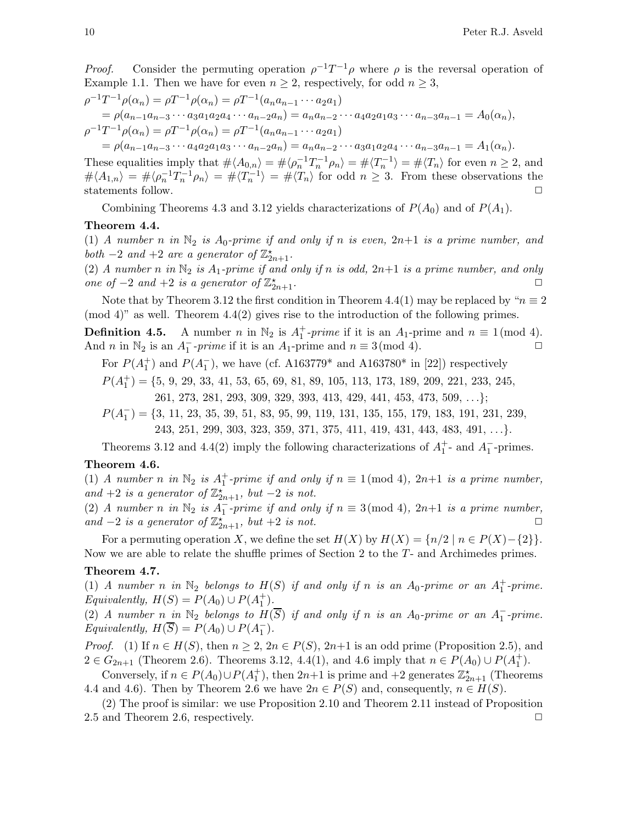*Proof.* Consider the permuting operation  $\rho^{-1}T^{-1}\rho$  where  $\rho$  is the reversal operation of Example 1.1. Then we have for even  $n \geq 2$ , respectively, for odd  $n \geq 3$ ,

$$
\rho^{-1}T^{-1}\rho(\alpha_n) = \rho T^{-1}\rho(\alpha_n) = \rho T^{-1}(a_n a_{n-1} \cdots a_2 a_1)
$$
  
\n
$$
= \rho(a_{n-1} a_{n-3} \cdots a_3 a_1 a_2 a_4 \cdots a_{n-2} a_n) = a_n a_{n-2} \cdots a_4 a_2 a_1 a_3 \cdots a_{n-3} a_{n-1} = A_0(\alpha_n),
$$
  
\n
$$
\rho^{-1}T^{-1}\rho(\alpha_n) = \rho T^{-1}\rho(\alpha_n) = \rho T^{-1}(a_n a_{n-1} \cdots a_2 a_1)
$$
  
\n
$$
= \rho(a_{n-1} a_{n-3} \cdots a_4 a_2 a_1 a_3 \cdots a_{n-2} a_n) = a_n a_{n-2} \cdots a_3 a_1 a_2 a_4 \cdots a_{n-3} a_{n-1} = A_1(\alpha_n).
$$

These equalities imply that  $\# \langle A_{0,n} \rangle = \# \langle \rho_n^{-1} T_n^{-1} \rho_n \rangle = \# \langle T_n^{-1} \rangle = \# \langle T_n \rangle$  for even  $n \geq 2$ , and  $\# \langle A_{1,n} \rangle = \# \langle \rho_n^{-1} T_n^{-1} \rho_n \rangle = \# \langle T_n^{-1} \rangle = \# \langle T_n \rangle$  for odd  $n \geq 3$ . From these observations the statements follow.  $\hfill \Box$ 

Combining Theorems 4.3 and 3.12 yields characterizations of  $P(A_0)$  and of  $P(A_1)$ .

#### Theorem 4.4.

(1) A number n in  $\mathbb{N}_2$  is  $A_0$ -prime if and only if n is even,  $2n+1$  is a prime number, and both  $-2$  and  $+2$  are a generator of  $\mathbb{Z}_{2n+1}^{\star}$ .

(2) A number n in  $\mathbb{N}_2$  is  $A_1$ -prime if and only if n is odd,  $2n+1$  is a prime number, and only one of  $-2$  and  $+2$  is a generator of  $\mathbb{Z}_2^*$  $\sum_{2n+1}^{\star}$ .

Note that by Theorem 3.12 the first condition in Theorem 4.4(1) may be replaced by " $n \equiv 2$ (mod 4)" as well. Theorem 4.4(2) gives rise to the introduction of the following primes.

**Definition 4.5.** A number n in  $\mathbb{N}_2$  is  $A_1^+$ -prime if it is an  $A_1$ -prime and  $n \equiv 1 \pmod{4}$ . And *n* in  $\mathbb{N}_2$  is an  $A_1^-$ -prime if it is an  $A_1$ -prime and  $n \equiv 3 \pmod{4}$ .

For  $P(A_1^+)$  and  $P(A_1^-)$ , we have (cf. A163779<sup>\*</sup> and A163780<sup>\*</sup> in [22]) respectively

 $P(A<sub>1</sub><sup>+</sup>) = \{5, 9, 29, 33, 41, 53, 65, 69, 81, 89, 105, 113, 173, 189, 209, 221, 233, 245,$ 261, 273, 281, 293, 309, 329, 393, 413, 429, 441, 453, 473, 509, . . .};

 $P(A_1^-) = \{3, 11, 23, 35, 39, 51, 83, 95, 99, 119, 131, 135, 155, 179, 183, 191, 231, 239,$ 243, 251, 299, 303, 323, 359, 371, 375, 411, 419, 431, 443, 483, 491, . . .}.

Theorems 3.12 and 4.4(2) imply the following characterizations of  $A_1^+$ - and  $A_1^-$ -primes.

# Theorem 4.6.

(1) A number n in  $\mathbb{N}_2$  is  $A_1^+$ -prime if and only if  $n \equiv 1 \pmod{4}$ ,  $2n+1$  is a prime number, and +2 is a generator of  $\mathbb{Z}_{2n+1}^{\times}$ , but -2 is not.

(2) A number n in  $\mathbb{N}_2$  is  $A_1^-$ -prime if and only if  $n \equiv 3 \pmod{4}$ ,  $2n+1$  is a prime number, and  $-2$  is a generator of  $\mathbb{Z}_{2n+1}^{\times}$ , but  $+2$  is not.

For a permuting operation X, we define the set  $H(X)$  by  $H(X) = \{n/2 \mid n \in P(X) - \{2\}\}.$ Now we are able to relate the shuffle primes of Section 2 to the T- and Archimedes primes.

#### Theorem 4.7.

(1) A number n in  $\mathbb{N}_2$  belongs to  $H(S)$  if and only if n is an  $A_0$ -prime or an  $A_1^+$ -prime. Equivalently,  $H(S) = P(A_0) \cup P(A_1^+)$ .

(2) A number  $n_in\ N_2$  belongs to  $H(\overline{S})$  if and only if n is an  $A_0$ -prime or an  $A_1^-$ -prime. Equivalently,  $H(\overline{S}) = P(A_0) \cup P(A_1^-)$ .

*Proof.* (1) If  $n \in H(S)$ , then  $n \geq 2$ ,  $2n \in P(S)$ ,  $2n+1$  is an odd prime (Proposition 2.5), and 2 ∈  $G_{2n+1}$  (Theorem 2.6). Theorems 3.12, 4.4(1), and 4.6 imply that  $n \in P(A_0) \cup P(A_1^+)$ .

Conversely, if  $n \in P(A_0) \cup P(A_1^+)$ , then  $2n+1$  is prime and  $+2$  generates  $\mathbb{Z}_{2n+1}^*$  (Theorems 4.4 and 4.6). Then by Theorem 2.6 we have  $2n \in P(S)$  and, consequently,  $n \in H(S)$ .

(2) The proof is similar: we use Proposition 2.10 and Theorem 2.11 instead of Proposition 2.5 and Theorem 2.6, respectively.  $\Box$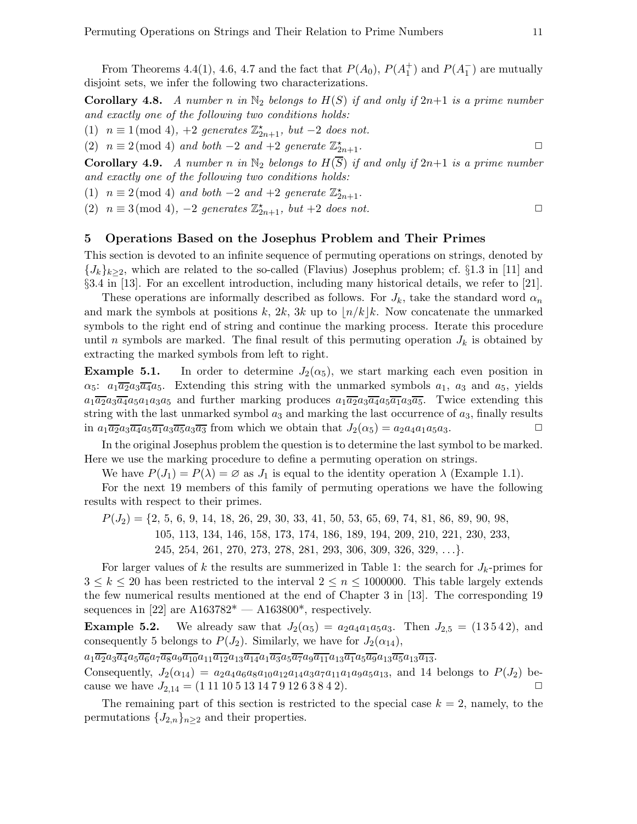From Theorems 4.4(1), 4.6, 4.7 and the fact that  $P(A_0)$ ,  $P(A_1^+)$  and  $P(A_1^-)$  are mutually disjoint sets, we infer the following two characterizations.

**Corollary 4.8.** A number n in  $\mathbb{N}_2$  belongs to  $H(S)$  if and only if  $2n+1$  is a prime number and exactly one of the following two conditions holds:

(1)  $n \equiv 1 \pmod{4}$ , +2 generates  $\mathbb{Z}_{2n+1}^{\star}$ , but -2 does not.

(2)  $n \equiv 2 \pmod{4}$  and both  $-2$  and  $+2$  generate  $\mathbb{Z}_{2n+1}^{\star}$ .

**Corollary 4.9.** A number n in  $\mathbb{N}_2$  belongs to  $H(\overline{S})$  if and only if  $2n+1$  is a prime number and exactly one of the following two conditions holds:

(1)  $n \equiv 2 \pmod{4}$  and both -2 and +2 generate  $\mathbb{Z}_{2n+1}^{\star}$ .

(2)  $n \equiv 3 \pmod{4}$ ,  $-2$  generates  $\mathbb{Z}_{2n+1}^{\star}$ , but  $+2$  does not.

## 5 Operations Based on the Josephus Problem and Their Primes

This section is devoted to an infinite sequence of permuting operations on strings, denoted by  $\{J_k\}_{k\geq 2}$ , which are related to the so-called (Flavius) Josephus problem; cf. §1.3 in [11] and §3.4 in [13]. For an excellent introduction, including many historical details, we refer to [21].

These operations are informally described as follows. For  $J_k$ , take the standard word  $\alpha_n$ and mark the symbols at positions k, 2k, 3k up to  $\lfloor n/k \rfloor k$ . Now concatenate the unmarked symbols to the right end of string and continue the marking process. Iterate this procedure until n symbols are marked. The final result of this permuting operation  $J_k$  is obtained by extracting the marked symbols from left to right.

**Example 5.1.** In order to determine  $J_2(\alpha_5)$ , we start marking each even position in  $\alpha_5$ :  $a_1\overline{a_2}a_3\overline{a_4}a_5$ . Extending this string with the unmarked symbols  $a_1$ ,  $a_3$  and  $a_5$ , yields  $a_1\overline{a_2}a_3\overline{a_4}a_5a_1a_3a_5$  and further marking produces  $a_1\overline{a_2}a_3\overline{a_4}a_5\overline{a_1}a_3\overline{a_5}$ . Twice extending this string with the last unmarked symbol  $a_3$  and marking the last occurrence of  $a_3$ , finally results in  $a_1\overline{a_2}a_3\overline{a_4}a_5\overline{a_1}a_3\overline{a_5}a_3\overline{a_3}$  from which we obtain that  $J_2(\alpha_5) = a_2a_4a_1a_5a_3$ .

In the original Josephus problem the question is to determine the last symbol to be marked. Here we use the marking procedure to define a permuting operation on strings.

We have  $P(J_1) = P(\lambda) = \emptyset$  as  $J_1$  is equal to the identity operation  $\lambda$  (Example 1.1).

For the next 19 members of this family of permuting operations we have the following results with respect to their primes.

 $P(J_2) = \{2, 5, 6, 9, 14, 18, 26, 29, 30, 33, 41, 50, 53, 65, 69, 74, 81, 86, 89, 90, 98,$ 105, 113, 134, 146, 158, 173, 174, 186, 189, 194, 209, 210, 221, 230, 233, 245, 254, 261, 270, 273, 278, 281, 293, 306, 309, 326, 329, . . .}.

For larger values of k the results are summerized in Table 1: the search for  $J_k$ -primes for  $3 \leq k \leq 20$  has been restricted to the interval  $2 \leq n \leq 1000000$ . This table largely extends the few numerical results mentioned at the end of Chapter 3 in [13]. The corresponding 19 sequences in [22] are  $A163782^* - A163800^*$ , respectively.

**Example 5.2.** We already saw that  $J_2(\alpha_5) = a_2 a_4 a_1 a_5 a_3$ . Then  $J_{2,5} = (13542)$ , and consequently 5 belongs to  $P(J_2)$ . Similarly, we have for  $J_2(\alpha_{14})$ ,

 $a_1\overline{a_2}a_3\overline{a_4}a_5\overline{a_6}a_7\overline{a_8}a_9\overline{a_{10}}a_{11}\overline{a_{12}}a_{13}\overline{a_{14}}a_1\overline{a_3}a_5\overline{a_7}a_9\overline{a_{11}}a_{13}\overline{a_1}a_5\overline{a_9}a_{13}\overline{a_5}a_{13}\overline{a_{13}}.$ 

Consequently,  $J_2(\alpha_{14}) = a_2a_4a_6a_8a_{10}a_{12}a_{14}a_3a_7a_{11}a_1a_9a_5a_{13}$ , and 14 belongs to  $P(J_2)$  because we have  $J_{2,14} = (1111051314791263842)$ .

The remaining part of this section is restricted to the special case  $k = 2$ , namely, to the permutations  ${J_{2,n}}_{n\geq 2}$  and their properties.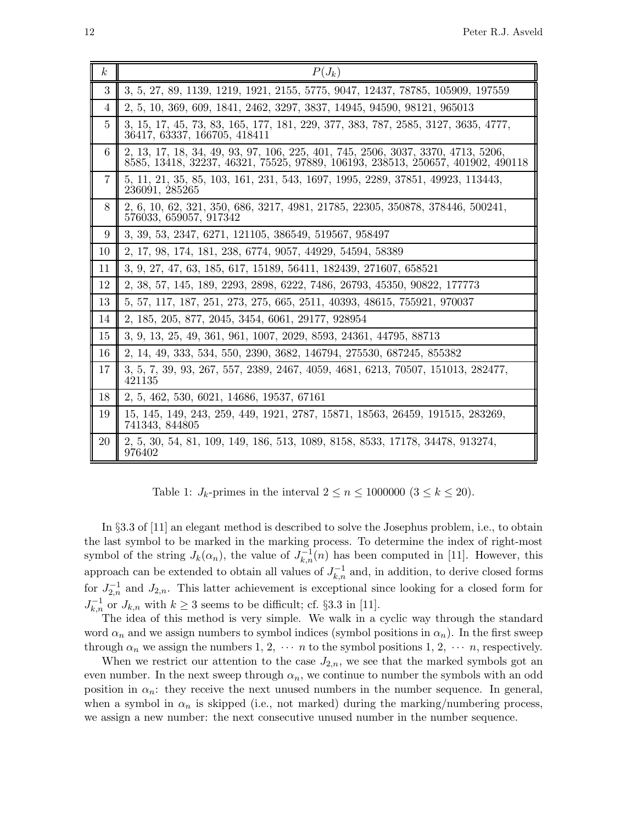| $\boldsymbol{k}$ | $P(J_k)$                                                                                                                                                            |
|------------------|---------------------------------------------------------------------------------------------------------------------------------------------------------------------|
| 3                | 3, 5, 27, 89, 1139, 1219, 1921, 2155, 5775, 9047, 12437, 78785, 105909, 197559                                                                                      |
| 4                | 2, 5, 10, 369, 609, 1841, 2462, 3297, 3837, 14945, 94590, 98121, 965013                                                                                             |
| 5                | 3, 15, 17, 45, 73, 83, 165, 177, 181, 229, 377, 383, 787, 2585, 3127, 3635, 4777,<br>36417, 63337, 166705, 418411                                                   |
| 6                | 2, 13, 17, 18, 34, 49, 93, 97, 106, 225, 401, 745, 2506, 3037, 3370, 4713, 5206,<br>8585, 13418, 32237, 46321, 75525, 97889, 106193, 238513, 250657, 401902, 490118 |
| $\overline{7}$   | 5, 11, 21, 35, 85, 103, 161, 231, 543, 1697, 1995, 2289, 37851, 49923, 113443,<br>236091, 285265                                                                    |
| 8                | 2, 6, 10, 62, 321, 350, 686, 3217, 4981, 21785, 22305, 350878, 378446, 500241,<br>576033, 659057, 917342                                                            |
| 9                | 3, 39, 53, 2347, 6271, 121105, 386549, 519567, 958497                                                                                                               |
| 10               | 2, 17, 98, 174, 181, 238, 6774, 9057, 44929, 54594, 58389                                                                                                           |
| 11               | 3, 9, 27, 47, 63, 185, 617, 15189, 56411, 182439, 271607, 658521                                                                                                    |
| 12               | 2, 38, 57, 145, 189, 2293, 2898, 6222, 7486, 26793, 45350, 90822, 177773                                                                                            |
| 13               | 5, 57, 117, 187, 251, 273, 275, 665, 2511, 40393, 48615, 755921, 970037                                                                                             |
| 14               | 2, 185, 205, 877, 2045, 3454, 6061, 29177, 928954                                                                                                                   |
| 15               | 3, 9, 13, 25, 49, 361, 961, 1007, 2029, 8593, 24361, 44795, 88713                                                                                                   |
| 16               | 2, 14, 49, 333, 534, 550, 2390, 3682, 146794, 275530, 687245, 855382                                                                                                |
| 17               | 3, 5, 7, 39, 93, 267, 557, 2389, 2467, 4059, 4681, 6213, 70507, 151013, 282477,<br>421135                                                                           |
| 18               | 2, 5, 462, 530, 6021, 14686, 19537, 67161                                                                                                                           |
| 19               | 15, 145, 149, 243, 259, 449, 1921, 2787, 15871, 18563, 26459, 191515, 283269,<br>741343, 844805                                                                     |
| 20               | 2, 5, 30, 54, 81, 109, 149, 186, 513, 1089, 8158, 8533, 17178, 34478, 913274,<br>976402                                                                             |

Table 1:  $J_k$ -primes in the interval  $2 \le n \le 1000000$   $(3 \le k \le 20)$ .

In §3.3 of [11] an elegant method is described to solve the Josephus problem, i.e., to obtain the last symbol to be marked in the marking process. To determine the index of right-most symbol of the string  $J_k(\alpha_n)$ , the value of  $J_{k,n}^{-1}(n)$  has been computed in [11]. However, this approach can be extended to obtain all values of  $J_{k,n}^{-1}$  and, in addition, to derive closed forms for  $J_{2,n}^{-1}$  and  $J_{2,n}$ . This latter achievement is exceptional since looking for a closed form for  $J_{k,n}^{-1}$  or  $J_{k,n}$  with  $k \geq 3$  seems to be difficult; cf. §3.3 in [11].

The idea of this method is very simple. We walk in a cyclic way through the standard word  $\alpha_n$  and we assign numbers to symbol indices (symbol positions in  $\alpha_n$ ). In the first sweep through  $\alpha_n$  we assign the numbers 1, 2,  $\cdots$  *n* to the symbol positions 1, 2,  $\cdots$  *n*, respectively.

When we restrict our attention to the case  $J_{2,n}$ , we see that the marked symbols got an even number. In the next sweep through  $\alpha_n$ , we continue to number the symbols with an odd position in  $\alpha_n$ : they receive the next unused numbers in the number sequence. In general, when a symbol in  $\alpha_n$  is skipped (i.e., not marked) during the marking/numbering process, we assign a new number: the next consecutive unused number in the number sequence.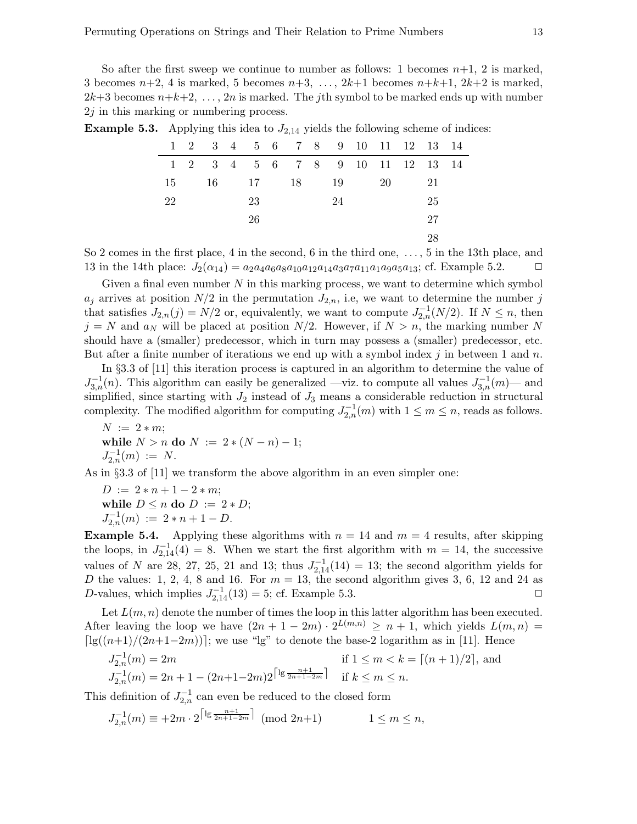So after the first sweep we continue to number as follows: 1 becomes  $n+1$ , 2 is marked, 3 becomes  $n+2$ , 4 is marked, 5 becomes  $n+3$ , ...,  $2k+1$  becomes  $n+k+1$ ,  $2k+2$  is marked,  $2k+3$  becomes  $n+k+2, \ldots, 2n$  is marked. The *j*th symbol to be marked ends up with number  $2j$  in this marking or numbering process.

|    |  |    | $1 \quad 2 \quad 3 \quad 4 \quad 5 \quad 6 \quad 7 \quad 8 \quad 9 \quad 10 \quad 11 \quad 12 \quad 13 \quad 14$ |    |    |    |  |
|----|--|----|------------------------------------------------------------------------------------------------------------------|----|----|----|--|
|    |  |    | 1 2 3 4 5 6 7 8 9 10 11 12 13 14                                                                                 |    |    |    |  |
| 15 |  |    | 16 17 18 19                                                                                                      |    | 20 | 21 |  |
| 22 |  | 23 |                                                                                                                  | 24 |    | 25 |  |
|    |  | 26 |                                                                                                                  |    |    | 27 |  |
|    |  |    |                                                                                                                  |    |    | 28 |  |

**Example 5.3.** Applying this idea to  $J_{2,14}$  yields the following scheme of indices:

So 2 comes in the first place, 4 in the second, 6 in the third one, . . . , 5 in the 13th place, and 13 in the 14th place:  $J_2(\alpha_{14}) = a_2 a_4 a_6 a_8 a_{10} a_{12} a_{14} a_3 a_7 a_{11} a_1 a_9 a_5 a_{13}$ ; cf. Example 5.2.  $\Box$ 

Given a final even number  $N$  in this marking process, we want to determine which symbol  $a_j$  arrives at position  $N/2$  in the permutation  $J_{2,n}$ , i.e, we want to determine the number j that satisfies  $J_{2,n}(j) = N/2$  or, equivalently, we want to compute  $J_{2,n}^{-1}(N/2)$ . If  $N \leq n$ , then  $j = N$  and  $a_N$  will be placed at position  $N/2$ . However, if  $N > n$ , the marking number N should have a (smaller) predecessor, which in turn may possess a (smaller) predecessor, etc. But after a finite number of iterations we end up with a symbol index j in between 1 and n.

In §3.3 of [11] this iteration process is captured in an algorithm to determine the value of  $J_{3,n}^{-1}(n)$ . This algorithm can easily be generalized —viz. to compute all values  $J_{3,n}^{-1}(m)$ — and simplified, since starting with  $J_2$  instead of  $J_3$  means a considerable reduction in structural complexity. The modified algorithm for computing  $J_{2,n}^{-1}(m)$  with  $1 \leq m \leq n$ , reads as follows.

 $N := 2 * m;$ while  $N > n$  do  $N := 2 * (N - n) - 1$ ;  $J_{2,n}^{-1}(m) := N.$ 

As in §3.3 of [11] we transform the above algorithm in an even simpler one:

 $D := 2 * n + 1 - 2 * m$ ; while  $D \leq n$  do  $D := 2*D$ ;  $J_{2,n}^{-1}(m) := 2*n+1-D.$ 

**Example 5.4.** Applying these algorithms with  $n = 14$  and  $m = 4$  results, after skipping the loops, in  $J_{2,14}^{-1}(4) = 8$ . When we start the first algorithm with  $m = 14$ , the successive values of N are 28, 27, 25, 21 and 13; thus  $J_{2,14}^{-1}(14) = 13$ ; the second algorithm yields for D the values: 1, 2, 4, 8 and 16. For  $m = 13$ , the second algorithm gives 3, 6, 12 and 24 as D-values, which implies  $J_{2,14}^{-1}(13) = 5$ ; cf. Example 5.3.

Let  $L(m, n)$  denote the number of times the loop in this latter algorithm has been executed. After leaving the loop we have  $(2n + 1 - 2m) \cdot 2^{L(m,n)} \ge n + 1$ , which yields  $L(m,n) =$  $\lceil \lg((n+1)/(2n+1-2m)) \rceil$ ; we use "lg" to denote the base-2 logarithm as in [11]. Hence

$$
J_{2,n}^{-1}(m) = 2m
$$
 if  $1 \le m < k = \lceil (n+1)/2 \rceil$ , and  

$$
J_{2,n}^{-1}(m) = 2n + 1 - (2n+1-2m)2^{\lceil \lg \frac{n+1}{2n+1-2m} \rceil}
$$
 if  $k \le m \le n$ .

This definition of  $J_{2,n}^{-1}$  can even be reduced to the closed form

$$
J_{2,n}^{-1}(m) \equiv +2m \cdot 2^{\lceil \lg \frac{n+1}{2n+1-2m} \rceil} \pmod{2n+1} \qquad \qquad 1 \le m \le n,
$$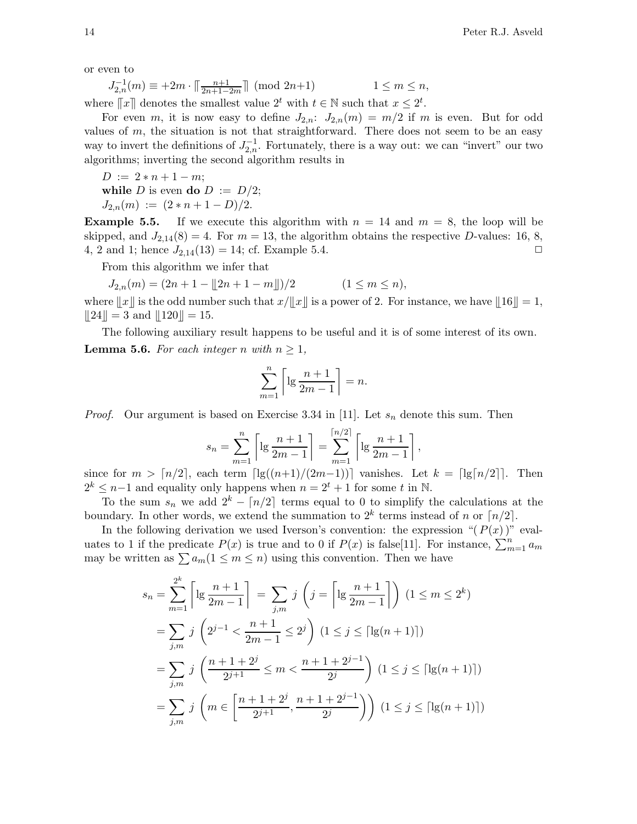or even to

$$
J_{2,n}^{-1}(m) \equiv +2m \cdot \lceil \frac{n+1}{2n+1-2m} \rceil \pmod{2n+1} \qquad \qquad 1 \le m \le n,
$$

where  $[[x]]$  denotes the smallest value  $2^t$  with  $t \in \mathbb{N}$  such that  $x \leq 2^t$ .

For even m, it is now easy to define  $J_{2,n}$ :  $J_{2,n}(m) = m/2$  if m is even. But for odd values of  $m$ , the situation is not that straightforward. There does not seem to be an easy way to invert the definitions of  $J_{2,n}^{-1}$ . Fortunately, there is a way out: we can "invert" our two algorithms; inverting the second algorithm results in

 $D := 2 * n + 1 - m;$ while D is even do  $D := D/2$ ;  $J_{2,n}(m) := (2*n+1-D)/2.$ 

**Example 5.5.** If we execute this algorithm with  $n = 14$  and  $m = 8$ , the loop will be skipped, and  $J_{2,14}(8) = 4$ . For  $m = 13$ , the algorithm obtains the respective D-values: 16, 8, 4, 2 and 1; hence  $J_{2,14}(13) = 14$ ; cf. Example 5.4.

From this algorithm we infer that

$$
J_{2,n}(m) = (2n + 1 - \lfloor 2n + 1 - m \rfloor)/2 \qquad (1 \le m \le n),
$$

where  $||x||$  is the odd number such that  $x/||x||$  is a power of 2. For instance, we have  $||16|| = 1$ ,  $||24|| = 3$  and  $||120|| = 15$ .

The following auxiliary result happens to be useful and it is of some interest of its own. **Lemma 5.6.** For each integer n with  $n \geq 1$ ,

$$
\sum_{m=1}^{n} \left[ \lg \frac{n+1}{2m-1} \right] = n.
$$

*Proof.* Our argument is based on Exercise 3.34 in [11]. Let  $s_n$  denote this sum. Then

$$
s_n = \sum_{m=1}^n \left[ \lg \frac{n+1}{2m-1} \right] = \sum_{m=1}^{\lceil n/2 \rceil} \left[ \lg \frac{n+1}{2m-1} \right],
$$

since for  $m > \lceil n/2 \rceil$ , each term  $\lceil \lg((n+1)/(2m-1)) \rceil$  vanishes. Let  $k = \lceil \lg(n/2) \rceil$ . Then  $2^k \leq n-1$  and equality only happens when  $n = 2^t + 1$  for some t in N.

To the sum  $s_n$  we add  $2^k - \lfloor n/2 \rfloor$  terms equal to 0 to simplify the calculations at the boundary. In other words, we extend the summation to  $2^k$  terms instead of n or  $\lceil n/2 \rceil$ .

In the following derivation we used Iverson's convention: the expression " $(P(x))$ " evaluates to 1 if the predicate  $P(x)$  is true and to 0 if  $P(x)$  is false[11]. For instance,  $\sum_{m=1}^{n} a_m$ may be written as  $\sum a_m(1 \leq m \leq n)$  using this convention. Then we have

$$
s_n = \sum_{m=1}^{2^k} \left[ \lg \frac{n+1}{2m-1} \right] = \sum_{j,m} j \left( j = \left[ \lg \frac{n+1}{2m-1} \right] \right) (1 \le m \le 2^k)
$$
  
= 
$$
\sum_{j,m} j \left( 2^{j-1} < \frac{n+1}{2m-1} \le 2^j \right) (1 \le j \le \lceil \lg(n+1) \rceil)
$$
  
= 
$$
\sum_{j,m} j \left( \frac{n+1+2^j}{2^{j+1}} \le m < \frac{n+1+2^{j-1}}{2^j} \right) (1 \le j \le \lceil \lg(n+1) \rceil)
$$
  
= 
$$
\sum_{j,m} j \left( m \in \left[ \frac{n+1+2^j}{2^{j+1}}, \frac{n+1+2^{j-1}}{2^j} \right) \right) (1 \le j \le \lceil \lg(n+1) \rceil)
$$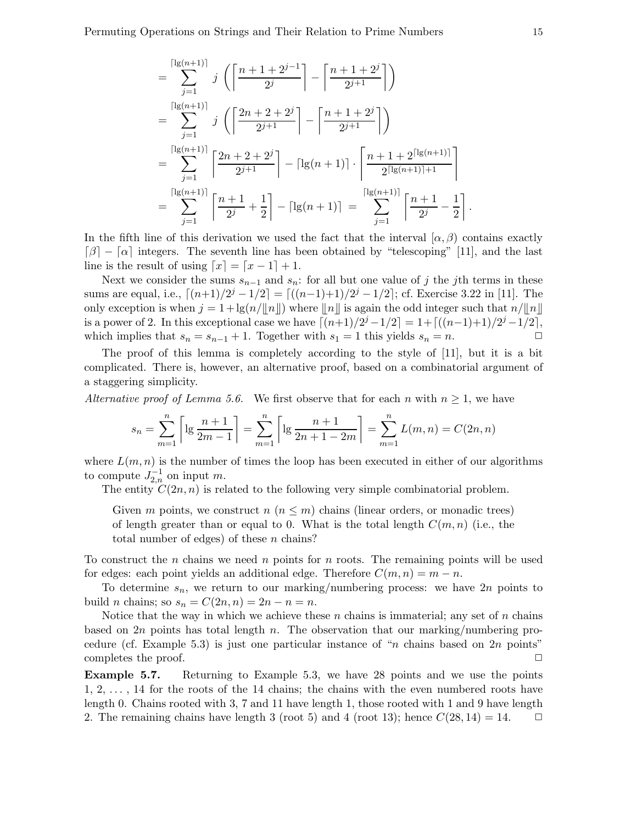$$
= \sum_{j=1}^{\lceil \lg(n+1) \rceil} j \left( \left\lceil \frac{n+1+2^{j-1}}{2^j} \right\rceil - \left\lceil \frac{n+1+2^j}{2^{j+1}} \right\rceil \right)
$$
  
\n
$$
= \sum_{j=1}^{\lceil \lg(n+1) \rceil} j \left( \left\lceil \frac{2n+2+2^j}{2^{j+1}} \right\rceil - \left\lceil \frac{n+1+2^j}{2^{j+1}} \right\rceil \right)
$$
  
\n
$$
= \sum_{j=1}^{\lceil \lg(n+1) \rceil} \left\lceil \frac{2n+2+2^j}{2^{j+1}} \right\rceil - \lceil \lg(n+1) \rceil \cdot \left\lceil \frac{n+1+2^{\lceil \lg(n+1) \rceil}}{2^{\lceil \lg(n+1) \rceil + 1}} \right\rceil
$$
  
\n
$$
= \sum_{j=1}^{\lceil \lg(n+1) \rceil} \left\lceil \frac{n+1}{2^j} + \frac{1}{2} \right\rceil - \lceil \lg(n+1) \rceil = \sum_{j=1}^{\lceil \lg(n+1) \rceil} \left\lceil \frac{n+1}{2^j} - \frac{1}{2} \right\rceil.
$$

In the fifth line of this derivation we used the fact that the interval  $(\alpha, \beta)$  contains exactly  $\lceil \beta \rceil - \lceil \alpha \rceil$  integers. The seventh line has been obtained by "telescoping" [11], and the last line is the result of using  $[x] = [x - 1] + 1$ .

Next we consider the sums  $s_{n-1}$  and  $s_n$ : for all but one value of j the jth terms in these sums are equal, i.e.,  $\lceil (n+1)/2^j - 1/2 \rceil = \lceil ((n-1)+1)/2^j - 1/2 \rceil$ ; cf. Exercise 3.22 in [11]. The only exception is when  $j = 1 + \lg(n/\llbracket n \rrbracket)$  where  $\llbracket n \rrbracket$  is again the odd integer such that  $n/\llbracket n \rrbracket$ is a power of 2. In this exceptional case we have  $\lceil (n+1)/2^j - 1/2 \rceil = 1 + \lceil ((n-1)+1)/2^j - 1/2 \rceil$ , which implies that  $s_n = s_{n-1} + 1$ . Together with  $s_1 = 1$  this yields  $s_n = n$ .  $\Box$ 

The proof of this lemma is completely according to the style of [11], but it is a bit complicated. There is, however, an alternative proof, based on a combinatorial argument of a staggering simplicity.

Alternative proof of Lemma 5.6. We first observe that for each n with  $n \geq 1$ , we have

$$
s_n = \sum_{m=1}^n \left[ \lg \frac{n+1}{2m-1} \right] = \sum_{m=1}^n \left[ \lg \frac{n+1}{2n+1-2m} \right] = \sum_{m=1}^n L(m,n) = C(2n,n)
$$

where  $L(m, n)$  is the number of times the loop has been executed in either of our algorithms to compute  $J_{2,n}^{-1}$  on input m.

The entity  $C(2n, n)$  is related to the following very simple combinatorial problem.

Given m points, we construct  $n (n \leq m)$  chains (linear orders, or monadic trees) of length greater than or equal to 0. What is the total length  $C(m, n)$  (i.e., the total number of edges) of these n chains?

To construct the *n* chains we need *n* points for *n* roots. The remaining points will be used for edges: each point yields an additional edge. Therefore  $C(m, n) = m - n$ .

To determine  $s_n$ , we return to our marking/numbering process: we have  $2n$  points to build *n* chains; so  $s_n = C(2n, n) = 2n - n = n$ .

Notice that the way in which we achieve these  $n$  chains is immaterial; any set of  $n$  chains based on 2n points has total length n. The observation that our marking/numbering procedure (cf. Example 5.3) is just one particular instance of "*n* chains based on  $2n$  points" completes the proof.  $\Box$ 

Example 5.7. Returning to Example 5.3, we have 28 points and we use the points  $1, 2, \ldots$ , 14 for the roots of the 14 chains; the chains with the even numbered roots have length 0. Chains rooted with 3, 7 and 11 have length 1, those rooted with 1 and 9 have length 2. The remaining chains have length 3 (root 5) and 4 (root 13); hence  $C(28, 14) = 14$ .  $\Box$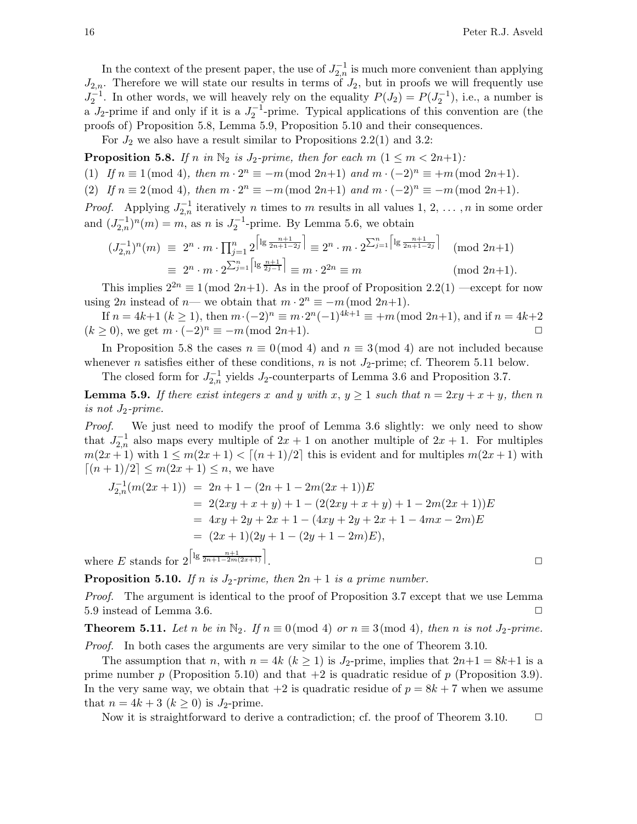In the context of the present paper, the use of  $J_{2,n}^{-1}$  is much more convenient than applying  $J_{2,n}$ . Therefore we will state our results in terms of  $J_2$ , but in proofs we will frequently use  $J_2^{-1}$ . In other words, we will heavely rely on the equality  $P(J_2) = P(J_2^{-1})$ , i.e., a number is a  $J_2$ -prime if and only if it is a  $J_2^{-1}$ -prime. Typical applications of this convention are (the proofs of) Proposition 5.8, Lemma 5.9, Proposition 5.10 and their consequences.

For  $J_2$  we also have a result similar to Propositions 2.2(1) and 3.2:

**Proposition 5.8.** If n in  $\mathbb{N}_2$  is  $J_2\text{-prime}$ , then for each  $m$   $(1 \leq m < 2n+1)$ :

(1) If  $n \equiv 1 \pmod{4}$ , then  $m \cdot 2^n \equiv -m \pmod{2n+1}$  and  $m \cdot (-2)^n \equiv +m \pmod{2n+1}$ .

(2) If  $n \equiv 2 \pmod{4}$ , then  $m \cdot 2^n \equiv -m \pmod{2n+1}$  and  $m \cdot (-2)^n \equiv -m \pmod{2n+1}$ .

*Proof.* Applying  $J_{2,n}^{-1}$  iteratively n times to m results in all values 1, 2, ..., n in some order and  $(J_{2,n}^{-1})^n(m) = m$ , as n is  $J_2^{-1}$ -prime. By Lemma 5.6, we obtain

$$
(J_{2,n}^{-1})^n(m) \equiv 2^n \cdot m \cdot \prod_{j=1}^n 2^{\left\lceil \lg \frac{n+1}{2n+1-2j} \right\rceil} \equiv 2^n \cdot m \cdot 2^{\sum_{j=1}^n \left\lceil \lg \frac{n+1}{2n+1-2j} \right\rceil} \pmod{2n+1}
$$
  

$$
\equiv 2^n \cdot m \cdot 2^{\sum_{j=1}^n \left\lceil \lg \frac{n+1}{2j-1} \right\rceil} \equiv m \cdot 2^{2n} \equiv m \pmod{2n+1}.
$$
 (mod  $2n+1$ ).

This implies  $2^{2n} \equiv 1 \pmod{2n+1}$ . As in the proof of Proposition 2.2(1) —except for now using  $2n$  instead of  $n$ — we obtain that  $m \cdot 2^n \equiv -m \pmod{2n+1}$ .

If  $n = 4k+1$   $(k \ge 1)$ , then  $m \cdot (-2)^n \equiv m \cdot 2^n(-1)^{4k+1} \equiv +m \pmod{2n+1}$ , and if  $n = 4k+2$  $(k \geq 0)$ , we get  $m \cdot (-2)^n \equiv -m \pmod{2n+1}$ .

In Proposition 5.8 the cases  $n \equiv 0 \pmod{4}$  and  $n \equiv 3 \pmod{4}$  are not included because whenever *n* satisfies either of these conditions, *n* is not  $J_2$ -prime; cf. Theorem 5.11 below.

The closed form for  $J_{2,n}^{-1}$  yields  $J_2$ -counterparts of Lemma 3.6 and Proposition 3.7.

**Lemma 5.9.** If there exist integers x and y with  $x, y \ge 1$  such that  $n = 2xy + x + y$ , then n is not  $J_2\text{-}prime.$ 

Proof. We just need to modify the proof of Lemma 3.6 slightly: we only need to show that  $J_{2,n}^{-1}$  also maps every multiple of  $2x + 1$  on another multiple of  $2x + 1$ . For multiples  $m(2x+1)$  with  $1 \leq m(2x+1) < [(n+1)/2]$  this is evident and for multiples  $m(2x+1)$  with  $[(n+1)/2] \leq m(2x+1) \leq n$ , we have

$$
J_{2,n}^{-1}(m(2x+1)) = 2n + 1 - (2n + 1 - 2m(2x+1))E
$$
  
= 2(2xy + x + y) + 1 - (2(2xy + x + y) + 1 - 2m(2x + 1))E  
= 4xy + 2y + 2x + 1 - (4xy + 2y + 2x + 1 - 4mx - 2m)E  
= (2x + 1)(2y + 1 - (2y + 1 - 2m)E),  
re E stands for  $2^{\left[lg\frac{n+1}{2n+1-2m(2x+1)}\right]}$ .

where E stands for  $2^{\left\lceil \lg \frac{n+1}{2n+1-2m(2x+1)} \right\rceil}$ 

**Proposition 5.10.** If n is  $J_2$ -prime, then  $2n + 1$  is a prime number.

Proof. The argument is identical to the proof of Proposition 3.7 except that we use Lemma 5.9 instead of Lemma 3.6.  $\Box$ 

**Theorem 5.11.** Let n be in  $\mathbb{N}_2$ . If  $n \equiv 0 \pmod{4}$  or  $n \equiv 3 \pmod{4}$ , then n is not  $J_2\text{-prime}$ . Proof. In both cases the arguments are very similar to the one of Theorem 3.10.

The assumption that n, with  $n = 4k$   $(k \ge 1)$  is J<sub>2</sub>-prime, implies that  $2n+1 = 8k+1$  is a prime number p (Proposition 5.10) and that  $+2$  is quadratic residue of p (Proposition 3.9). In the very same way, we obtain that  $+2$  is quadratic residue of  $p = 8k + 7$  when we assume that  $n = 4k + 3$   $(k \geq 0)$  is J<sub>2</sub>-prime.

Now it is straightforward to derive a contradiction; cf. the proof of Theorem 3.10.  $\Box$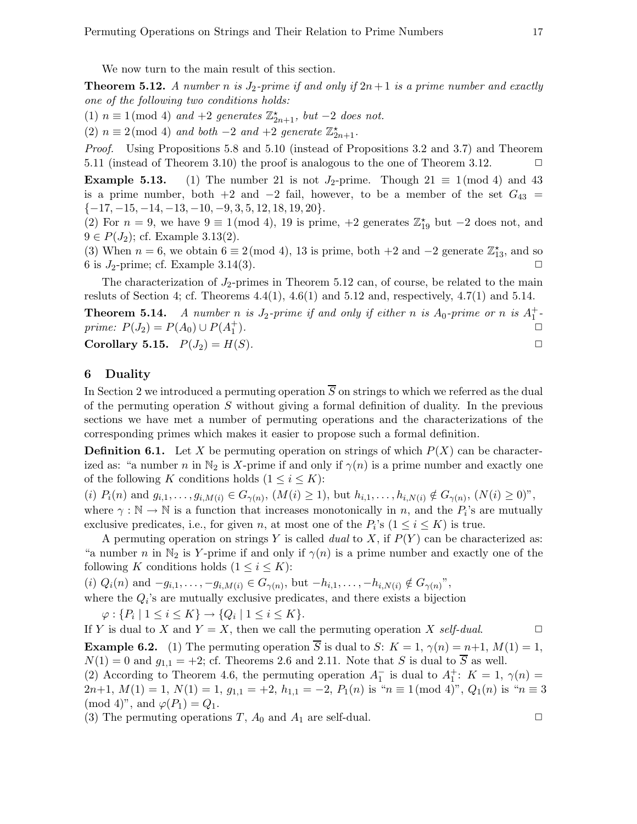We now turn to the main result of this section.

**Theorem 5.12.** A number n is  $J_2$ -prime if and only if  $2n+1$  is a prime number and exactly one of the following two conditions holds:

(1)  $n \equiv 1 \pmod{4}$  and  $+2$  generates  $\mathbb{Z}_{2n+1}^{\star}$ , but  $-2$  does not.

(2)  $n \equiv 2 \pmod{4}$  and both  $-2$  and  $+2$  generate  $\mathbb{Z}_{2n+1}^{\star}$ .

Proof. Using Propositions 5.8 and 5.10 (instead of Propositions 3.2 and 3.7) and Theorem 5.11 (instead of Theorem 3.10) the proof is analogous to the one of Theorem 3.12.  $\Box$ 

**Example 5.13.** (1) The number 21 is not  $J_2$ -prime. Though  $21 \equiv 1 \pmod{4}$  and 43 is a prime number, both +2 and -2 fail, however, to be a member of the set  $G_{43}$  =  $\{-17, -15, -14, -13, -10, -9, 3, 5, 12, 18, 19, 20\}.$ 

(2) For  $n = 9$ , we have  $9 \equiv 1 \pmod{4}$ , 19 is prime,  $+2$  generates  $\mathbb{Z}_{19}^{\star}$  but  $-2$  does not, and  $9 \in P(J_2)$ ; cf. Example 3.13(2).

(3) When  $n = 6$ , we obtain  $6 \equiv 2 \pmod{4}$ , 13 is prime, both  $+2$  and  $-2$  generate  $\mathbb{Z}_{13}^*$ , and so 6 is  $J_2$ -prime; cf. Example 3.14(3).

The characterization of  $J_2$ -primes in Theorem 5.12 can, of course, be related to the main resluts of Section 4; cf. Theorems  $4.4(1)$ ,  $4.6(1)$  and  $5.12$  and, respectively,  $4.7(1)$  and  $5.14$ .

**Theorem 5.14.** A number n is  $J_2$ -prime if and only if either n is  $A_0$ -prime or n is  $A_1^+$ prime:  $P(J_2) = P(A_0) \cup P(A_1^+)$ ).  $\square$ 

Corollary 5.15.  $P(J_2) = H(S)$ .

#### 6 Duality

In Section 2 we introduced a permuting operation  $\overline{S}$  on strings to which we referred as the dual of the permuting operation S without giving a formal definition of duality. In the previous sections we have met a number of permuting operations and the characterizations of the corresponding primes which makes it easier to propose such a formal definition.

**Definition 6.1.** Let X be permuting operation on strings of which  $P(X)$  can be characterized as: "a number n in  $\mathbb{N}_2$  is X-prime if and only if  $\gamma(n)$  is a prime number and exactly one of the following K conditions holds  $(1 \leq i \leq K)$ :

(i)  $P_i(n)$  and  $g_{i,1},...,g_{i,M(i)} \in G_{\gamma(n)}, (M(i) \geq 1)$ , but  $h_{i,1},...,h_{i,N(i)} \notin G_{\gamma(n)}, (N(i) \geq 0)$ ", where  $\gamma : \mathbb{N} \to \mathbb{N}$  is a function that increases monotonically in n, and the  $P_i$ 's are mutually exclusive predicates, i.e., for given *n*, at most one of the  $P_i$ 's  $(1 \le i \le K)$  is true.

A permuting operation on strings Y is called dual to X, if  $P(Y)$  can be characterized as: "a number n in  $\mathbb{N}_2$  is Y-prime if and only if  $\gamma(n)$  is a prime number and exactly one of the following K conditions holds  $(1 \leq i \leq K)$ :

(i)  $Q_i(n)$  and  $-g_{i,1}, \ldots, -g_{i,M(i)} \in G_{\gamma(n)}$ , but  $-h_{i,1}, \ldots, -h_{i,N(i)} \notin G_{\gamma(n)}$ ",

where the  $Q_i$ 's are mutually exclusive predicates, and there exists a bijection

 $\varphi: \{P_i \mid 1 \leq i \leq K\} \to \{Q_i \mid 1 \leq i \leq K\}.$ 

If Y is dual to X and  $Y = X$ , then we call the permuting operation X self-dual.  $\Box$ 

**Example 6.2.** (1) The permuting operation  $\overline{S}$  is dual to S:  $K = 1$ ,  $\gamma(n) = n+1$ ,  $M(1) = 1$ ,  $N(1) = 0$  and  $g_{1,1} = +2$ ; cf. Theorems 2.6 and 2.11. Note that S is dual to  $\overline{S}$  as well.

(2) According to Theorem 4.6, the permuting operation  $A_1^-$  is dual to  $A_1^+$ :  $K = 1, \gamma(n) =$  $2n+1, M(1) = 1, N(1) = 1, g_{1,1} = +2, h_{1,1} = -2, P_1(n)$  is " $n \equiv 1 \pmod{4}$ ",  $Q_1(n)$  is " $n \equiv 3$  $\pmod{4}$ , and  $\varphi(P_1) = Q_1$ .

(3) The permuting operations T,  $A_0$  and  $A_1$  are self-dual.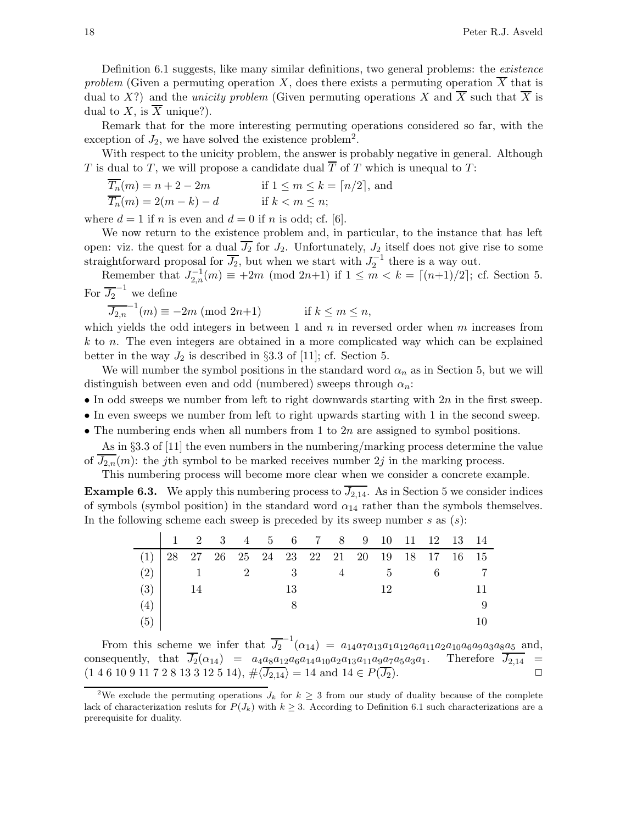Definition 6.1 suggests, like many similar definitions, two general problems: the *existence* problem (Given a permuting operation X, does there exists a permuting operation  $\overline{X}$  that is dual to X?) and the *unicity problem* (Given permuting operations X and  $\overline{X}$  such that  $\overline{X}$  is dual to  $X$ , is  $X$  unique?).

Remark that for the more interesting permuting operations considered so far, with the exception of  $J_2$ , we have solved the existence problem<sup>2</sup>.

With respect to the unicity problem, the answer is probably negative in general. Although T is dual to T, we will propose a candidate dual  $\overline{T}$  of T which is unequal to T:

$$
\overline{T_n}(m) = n + 2 - 2m \qquad \text{if } 1 \le m \le k = \lceil n/2 \rceil, \text{ and}
$$
  

$$
\overline{T_n}(m) = 2(m - k) - d \qquad \text{if } k < m \le n;
$$

where  $d = 1$  if n is even and  $d = 0$  if n is odd; cf. [6].

We now return to the existence problem and, in particular, to the instance that has left open: viz. the quest for a dual  $\overline{J_2}$  for  $J_2$ . Unfortunately,  $J_2$  itself does not give rise to some straightforward proposal for  $\overline{J_2}$ , but when we start with  $J_2^{-1}$  there is a way out.

Remember that  $J_{2,n}^{-1}(m) \equiv +2m \pmod{2n+1}$  if  $1 \leq m < k = \lceil (n+1)/2 \rceil$ ; cf. Section 5. For  $\overline{J_2}^{-1}$  we define

 $\overline{J_{2,n}}^{-1}(m) \equiv -2m \pmod{2n+1}$  if  $k \le m \le n$ ,

which yields the odd integers in between 1 and  $n$  in reversed order when  $m$  increases from k to n. The even integers are obtained in a more complicated way which can be explained better in the way  $J_2$  is described in §3.3 of [11]; cf. Section 5.

We will number the symbol positions in the standard word  $\alpha_n$  as in Section 5, but we will distinguish between even and odd (numbered) sweeps through  $\alpha_n$ :

- In odd sweeps we number from left to right downwards starting with  $2n$  in the first sweep.
- In even sweeps we number from left to right upwards starting with 1 in the second sweep.
- The numbering ends when all numbers from 1 to  $2n$  are assigned to symbol positions.

As in §3.3 of [11] the even numbers in the numbering/marking process determine the value of  $\overline{J_{2,n}}(m)$ : the jth symbol to be marked receives number  $2j$  in the marking process.

This numbering process will become more clear when we consider a concrete example.

**Example 6.3.** We apply this numbering process to  $\overline{J_{2,14}}$ . As in Section 5 we consider indices of symbols (symbol position) in the standard word  $\alpha_{14}$  rather than the symbols themselves. In the following scheme each sweep is preceded by its sweep number  $s$  as  $(s)$ :

|                                                 |    |  |  |    | 1 2 3 4 5 6 7 8 9 10 11 12 13 14 |          |            |  |  |
|-------------------------------------------------|----|--|--|----|----------------------------------|----------|------------|--|--|
| $(1)$ 28 27 26 25 24 23 22 21 20 19 18 17 16 15 |    |  |  |    |                                  |          |            |  |  |
| $(2)$ 1 2 3                                     |    |  |  |    |                                  | $\sim$ 4 | $5\degree$ |  |  |
| $(3)$ 1                                         | 14 |  |  | 13 |                                  |          | 12         |  |  |
| (4)                                             |    |  |  |    |                                  |          |            |  |  |
| (5)                                             |    |  |  |    |                                  |          |            |  |  |

From this scheme we infer that  $\overline{J_2}^{-1}(\alpha_{14}) = a_{14}a_7a_{13}a_1a_{12}a_6a_{11}a_2a_{10}a_6a_9a_3a_8a_5$  and, consequently, that  $\overline{J_2}(\alpha_{14}) = a_4a_8a_{12}a_6a_{14}a_{10}a_2a_{13}a_{11}a_9a_7a_5a_3a_1$ . Therefore  $\overline{J_{2,14}} =$  $(1\ 4\ 6\ 10\ 9\ 11\ 7\ 2\ 8\ 13\ 3\ 12\ 5\ 14), \#\langle\overline{J_{2,14}}\rangle = 14 \text{ and } 14 \in P(\overline{J_2}).$ 

<sup>&</sup>lt;sup>2</sup>We exclude the permuting operations  $J_k$  for  $k \geq 3$  from our study of duality because of the complete lack of characterization resluts for  $P(J_k)$  with  $k \geq 3$ . According to Definition 6.1 such characterizations are a prerequisite for duality.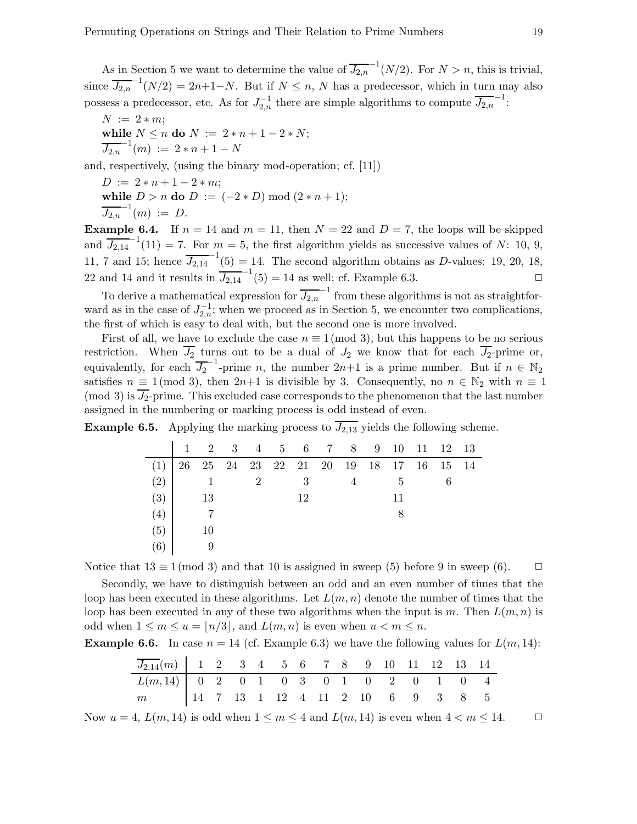As in Section 5 we want to determine the value of  $\overline{J_{2,n}}^{-1}(N/2)$ . For  $N > n$ , this is trivial, since  $\overline{J_{2,n}}^{-1}(N/2) = 2n+1-N$ . But if  $N \leq n$ , N has a predecessor, which in turn may also possess a predecessor, etc. As for  $J_{2,n}^{-1}$  there are simple algorithms to compute  $\overline{J_{2,n}}^{-1}$ :

 $N := 2 * m;$ while  $N \le n$  do  $N := 2 * n + 1 - 2 * N;$  $\overline{J_{2,n}}^{-1}(m) := 2*n+1-N$ 

and, respectively, (using the binary mod-operation; cf. [11])

 $D := 2 * n + 1 - 2 * m;$ 

while  $D > n$  do  $D := (-2*D) \bmod (2*n+1);$  $\overline{J_{2,n}}^{-1}(m) := D.$ 

**Example 6.4.** If  $n = 14$  and  $m = 11$ , then  $N = 22$  and  $D = 7$ , the loops will be skipped and  $\overline{J_{2,14}}^{-1}(11) = 7$ . For  $m = 5$ , the first algorithm yields as successive values of N: 10, 9, 11, 7 and 15; hence  $\overline{J_{2,14}}^{-1}(5) = 14$ . The second algorithm obtains as D-values: 19, 20, 18, 22 and 14 and it results in  $\overline{J_{2,14}}^{-1}(5) = 14$  as well; cf. Example 6.3.

To derive a mathematical expression for  $\overline{J_{2,n}}^{-1}$  from these algorithms is not as straightforward as in the case of  $J_{2,n}^{-1}$ ; when we proceed as in Section 5, we encounter two complications, the first of which is easy to deal with, but the second one is more involved.

First of all, we have to exclude the case  $n \equiv 1 \pmod{3}$ , but this happens to be no serious restriction. When  $J_2$  turns out to be a dual of  $J_2$  we know that for each  $J_2$ -prime or, equivalently, for each  $\overline{J_2}^{-1}$ -prime n, the number  $2n+1$  is a prime number. But if  $n \in \mathbb{N}_2$ satisfies  $n \equiv 1 \pmod{3}$ , then  $2n+1$  is divisible by 3. Consequently, no  $n \in \mathbb{N}_2$  with  $n \equiv 1$ (mod 3) is  $\overline{J_2}$ -prime. This excluded case corresponds to the phenomenon that the last number assigned in the numbering or marking process is odd instead of even.

**Example 6.5.** Applying the marking process to  $\overline{J_{2,13}}$  yields the following scheme.

|                                              |    |                     |    |  |    | $1 \quad 2 \quad 3 \quad 4 \quad 5 \quad 6 \quad 7 \quad 8 \quad 9 \quad 10 \quad 11 \quad 12 \quad 13$ |  |
|----------------------------------------------|----|---------------------|----|--|----|---------------------------------------------------------------------------------------------------------|--|
| $(1)$ 26 25 24 23 22 21 20 19 18 17 16 15 14 |    |                     |    |  |    |                                                                                                         |  |
| (2)                                          |    | $1 \qquad \qquad 2$ | -3 |  | -5 |                                                                                                         |  |
| $(3)$ 13                                     |    |                     | 12 |  | 11 |                                                                                                         |  |
| (4)                                          |    |                     |    |  |    |                                                                                                         |  |
| (5)                                          | 10 |                     |    |  |    |                                                                                                         |  |
| (6)                                          |    |                     |    |  |    |                                                                                                         |  |

Notice that  $13 \equiv 1 \pmod{3}$  and that 10 is assigned in sweep (5) before 9 in sweep (6).  $\Box$ 

Secondly, we have to distinguish between an odd and an even number of times that the loop has been executed in these algorithms. Let  $L(m, n)$  denote the number of times that the loop has been executed in any of these two algorithms when the input is m. Then  $L(m, n)$  is odd when  $1 \leq m \leq u = |n/3|$ , and  $L(m, n)$  is even when  $u < m \leq n$ .

**Example 6.6.** In case  $n = 14$  (cf. Example 6.3) we have the following values for  $L(m, 14)$ :

| $\overline{J_{2,14}}(m)$ 1 2 3 4 5 6 7 8 9 10 11 12 13 14 |  |  |  |  |  |  |  |
|-----------------------------------------------------------|--|--|--|--|--|--|--|
| $L(m,14)$ 0 2 0 1 0 3 0 1 0 2 0 1 0 4                     |  |  |  |  |  |  |  |
| m 14 7 13 1 12 4 11 2 10 6 9 3 8 5                        |  |  |  |  |  |  |  |

Now  $u = 4$ ,  $L(m, 14)$  is odd when  $1 \le m \le 4$  and  $L(m, 14)$  is even when  $4 < m \le 14$ .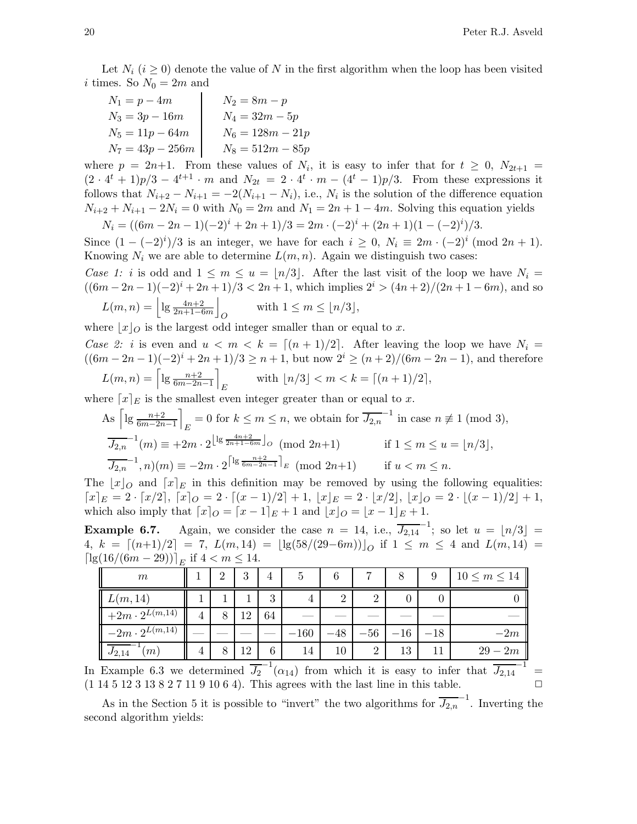Let  $N_i$  ( $i \geq 0$ ) denote the value of N in the first algorithm when the loop has been visited i times. So  $N_0 = 2m$  and

| $N_1 = p - 4m$     | $N_2 = 8m - p$     |
|--------------------|--------------------|
| $N_3 = 3p - 16m$   | $N_4 = 32m - 5p$   |
| $N_5 = 11p - 64m$  | $N_6 = 128m - 21p$ |
| $N_7 = 43p - 256m$ | $N_8 = 512m - 85p$ |

where  $p = 2n+1$ . From these values of  $N_i$ , it is easy to infer that for  $t \geq 0$ ,  $N_{2t+1} =$  $(2 \cdot 4^t + 1)p/3 - 4^{t+1} \cdot m$  and  $N_{2t} = 2 \cdot 4^t \cdot m - (4^t - 1)p/3$ . From these expressions it follows that  $N_{i+2} - N_{i+1} = -2(N_{i+1} - N_i)$ , i.e.,  $N_i$  is the solution of the difference equation  $N_{i+2} + N_{i+1} - 2N_i = 0$  with  $N_0 = 2m$  and  $N_1 = 2n + 1 - 4m$ . Solving this equation yields

$$
N_i = ((6m - 2n - 1)(-2)^i + 2n + 1)/3 = 2m \cdot (-2)^i + (2n + 1)(1 - (-2)^i)/3.
$$

Since  $(1 - (-2)^i)/3$  is an integer, we have for each  $i \geq 0$ ,  $N_i \equiv 2m \cdot (-2)^i \pmod{2n+1}$ . Knowing  $N_i$  we are able to determine  $L(m, n)$ . Again we distinguish two cases:

Case 1: i is odd and  $1 \leq m \leq u = \lfloor n/3 \rfloor$ . After the last visit of the loop we have  $N_i =$  $((6m - 2n - 1)(-2)<sup>i</sup> + 2n + 1)/3 < 2n + 1$ , which implies  $2<sup>i</sup> > (4n + 2)/(2n + 1 - 6m)$ , and so

$$
L(m, n) = \left\lfloor \lg \frac{4n+2}{2n+1-6m} \right\rfloor_O \quad \text{with } 1 \le m \le \lfloor n/3 \rfloor,
$$

where  $|x|_O$  is the largest odd integer smaller than or equal to x.

Case 2: i is even and  $u < m < k = [(n+1)/2]$ . After leaving the loop we have  $N_i =$  $((6m - 2n - 1)(-2)^{i} + 2n + 1)/3 \ge n + 1$ , but now  $2^{i} \ge (n + 2)/(6m - 2n - 1)$ , and therefore  $L(m, n) = \left[ \lg \frac{n+2}{6m-2n-1} \right]$ E with  $\lfloor n/3 \rfloor < m < k = \lceil (n+1)/2 \rceil$ ,

where  $[x]_E$  is the smallest even integer greater than or equal to x.

As 
$$
\left[lg \frac{n+2}{6m-2n-1}\right]_E = 0
$$
 for  $k \le m \le n$ , we obtain for  $\overline{J_{2,n}}^{-1}$  in case  $n \ne 1 \pmod{3}$ ,  
\n
$$
\overline{J_{2,n}}^{-1}(m) \equiv +2m \cdot 2^{\left\lfloor \lg \frac{4n+2}{2n+1-6m} \right\rfloor} \circ \pmod{2n+1} \qquad \text{if } 1 \le m \le u = \lfloor n/3 \rfloor,
$$
\n
$$
\overline{J_{2,n}}^{-1}(n)(m) \equiv -2m \cdot 2^{\left\lceil \lg \frac{n+2}{6m-2n-1} \right\rceil} \circ \pmod{2n+1} \qquad \text{if } u < m \le n.
$$

The  $\lfloor x \rfloor_0$  and  $\lfloor x \rfloor_E$  in this definition may be removed by using the following equalities:  $[x]_E = 2 \cdot [x/2], [x]_O = 2 \cdot [(x-1)/2] + 1, |x|_E = 2 \cdot [x/2], |x|_O = 2 \cdot [(x-1)/2] + 1,$ which also imply that  $[x]_O = [x-1]_E + 1$  and  $|x|_O = |x-1|_E + 1$ .

**Example 6.7.** Again, we consider the case  $n = 14$ , i.e.,  $\overline{J_{2,14}}^{-1}$ ; so let  $u = \lfloor n/3 \rfloor =$ 4,  $k = \lfloor (n+1)/2 \rfloor = 7$ ,  $L(m, 14) = \lfloor \lg(58/(29-6m)) \rfloor_O$  if  $1 \le m \le 4$  and  $L(m, 14) =$  $\left[ \lg(16/(6m-29)) \right]_E$  if  $4 < m \leq 14$ .

| m                                 |                | റ | 3  | 4  | 5      | 6             | ⇁              |       | 9     | $10 \leq m \leq 14$ |
|-----------------------------------|----------------|---|----|----|--------|---------------|----------------|-------|-------|---------------------|
| L(m, 14)                          |                |   |    | 3  |        | $\Omega$<br>∠ | $\overline{2}$ |       |       |                     |
| $+2m\cdot 2^{L(m,14)}$            | $\overline{4}$ | 8 | 12 | 64 |        |               |                |       |       |                     |
| $-2m\cdot 2^{L(m,\overline{14})}$ |                |   |    |    | $-160$ | $-48$         | $-56$          | $-16$ | $-18$ | $-2m$               |
| $\overline{J_{2,14}}$<br> m       | 4              | 8 | 12 | 6  | 14     | $10\,$        | $\overline{2}$ | 13    |       | $29 - 2m$           |

In Example 6.3 we determined  $\overline{J_2}^{-1}(\alpha_{14})$  from which it is easy to infer that  $\overline{J_{2,14}}^{-1}$  =  $(1\ 14\ 5\ 12\ 3\ 13\ 8\ 2\ 7\ 11\ 9\ 10\ 6\ 4)$ . This agrees with the last line in this table.

As in the Section 5 it is possible to "invert" the two algorithms for  $\overline{J_{2,n}}^{-1}$ . Inverting the second algorithm yields: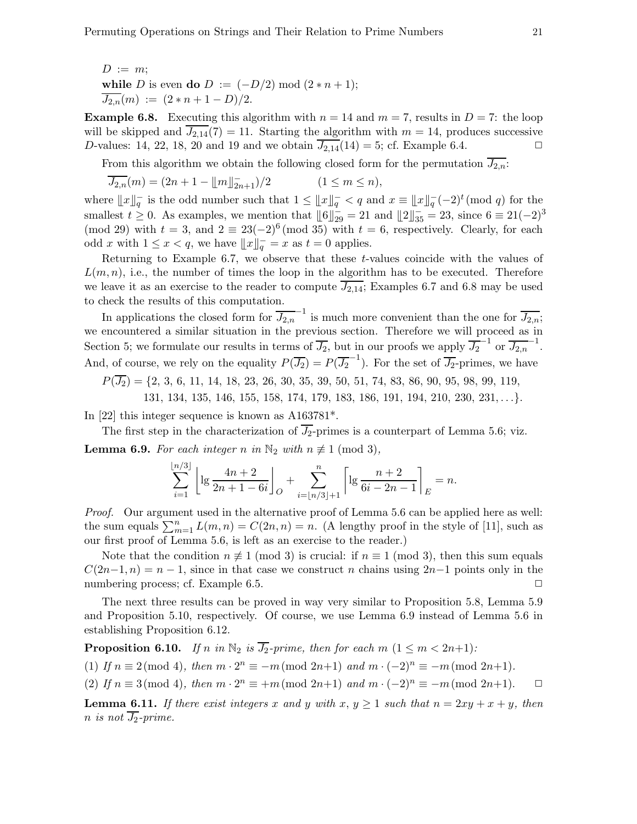*D* := *m*;  
while *D* is even **do** *D* := 
$$
(-D/2) \mod (2*n+1)
$$
;  
 $\overline{J_{2,n}}(m) := (2*n+1-D)/2$ .

**Example 6.8.** Executing this algorithm with  $n = 14$  and  $m = 7$ , results in  $D = 7$ : the loop will be skipped and  $\overline{J_{2,14}}(7) = 11$ . Starting the algorithm with  $m = 14$ , produces successive D-values: 14, 22, 18, 20 and 19 and we obtain  $\overline{J_{2,14}}(14) = 5$ ; cf. Example 6.4.

From this algorithm we obtain the following closed form for the permutation  $J_{2,n}$ :

$$
\overline{J_{2,n}}(m) = (2n + 1 - \lfloor m \rfloor_{2n+1}^{-})/2 \qquad (1 \le m \le n),
$$

where  $||x||_q^-$  is the odd number such that  $1 \leq ||x||_q^- < q$  and  $x \equiv ||x||_q^- (-2)^t \pmod{q}$  for the smallest  $t \geq 0$ . As examples, we mention that  $\|\mathbf{6}\|_{29}^{\dagger} = 21$  and  $\|\mathbf{2}\|_{35}^{\dagger} = 23$ , since  $\mathbf{6} \equiv 21(-2)^3$ (mod 29) with  $t = 3$ , and  $2 \equiv 23(-2)^6 \pmod{35}$  with  $t = 6$ , respectively. Clearly, for each odd x with  $1 \leq x < q$ , we have  $||x||_q^{\dagger} = x$  as  $t = 0$  applies.

Returning to Example 6.7, we observe that these t-values coincide with the values of  $L(m, n)$ , i.e., the number of times the loop in the algorithm has to be executed. Therefore we leave it as an exercise to the reader to compute  $\overline{J_{2,14}}$ ; Examples 6.7 and 6.8 may be used to check the results of this computation.

In applications the closed form for  $\overline{J_{2,n}}^{-1}$  is much more convenient than the one for  $\overline{J_{2,n}}$ ; we encountered a similar situation in the previous section. Therefore we will proceed as in Section 5; we formulate our results in terms of  $\overline{J_2}$ , but in our proofs we apply  $\overline{J_2}^{-1}$  or  $\overline{J_{2,n}}^{-1}$ . And, of course, we rely on the equality  $P(\overline{J_2}) = P(\overline{J_2}^{-1})$ . For the set of  $\overline{J_2}$ -primes, we have

 $P(\overline{J_2}) = \{2, 3, 6, 11, 14, 18, 23, 26, 30, 35, 39, 50, 51, 74, 83, 86, 90, 95, 98, 99, 119,$ 

131, 134, 135, 146, 155, 158, 174, 179, 183, 186, 191, 194, 210, 230, 231, . . .}.

In [22] this integer sequence is known as A163781\*.

The first step in the characterization of  $\overline{J_2}$ -primes is a counterpart of Lemma 5.6; viz. **Lemma 6.9.** For each integer n in  $\mathbb{N}_2$  with  $n \not\equiv 1 \pmod{3}$ ,

$$
\sum_{i=1}^{\lfloor n/3 \rfloor} \left[ \lg \frac{4n+2}{2n+1-6i} \right]_O + \sum_{i=\lfloor n/3 \rfloor+1}^n \left[ \lg \frac{n+2}{6i-2n-1} \right]_E = n.
$$

Proof. Our argument used in the alternative proof of Lemma 5.6 can be applied here as well: the sum equals  $\sum_{m=1}^{n} L(m, n) = C(2n, n) = n$ . (A lengthy proof in the style of [11], such as our first proof of Lemma 5.6, is left as an exercise to the reader.)

Note that the condition  $n \neq 1 \pmod{3}$  is crucial: if  $n \equiv 1 \pmod{3}$ , then this sum equals  $C(2n-1, n) = n-1$ , since in that case we construct n chains using  $2n-1$  points only in the numbering process; cf. Example 6.5. ◯

The next three results can be proved in way very similar to Proposition 5.8, Lemma 5.9 and Proposition 5.10, respectively. Of course, we use Lemma 6.9 instead of Lemma 5.6 in establishing Proposition 6.12.

**Proposition 6.10.** If n in  $\mathbb{N}_2$  is  $\overline{J_2}$ -prime, then for each m  $(1 \leq m < 2n+1)$ :

(1) If  $n \equiv 2 \pmod{4}$ , then  $m \cdot 2^n \equiv -m \pmod{2n+1}$  and  $m \cdot (-2)^n \equiv -m \pmod{2n+1}$ .

(2) If  $n \equiv 3 \pmod{4}$ , then  $m \cdot 2^n \equiv +m \pmod{2n+1}$  and  $m \cdot (-2)^n \equiv -m \pmod{2n+1}$ .  $\Box$ 

**Lemma 6.11.** If there exist integers x and y with  $x, y \ge 1$  such that  $n = 2xy + x + y$ , then n is not  $\overline{J_2}$ -prime.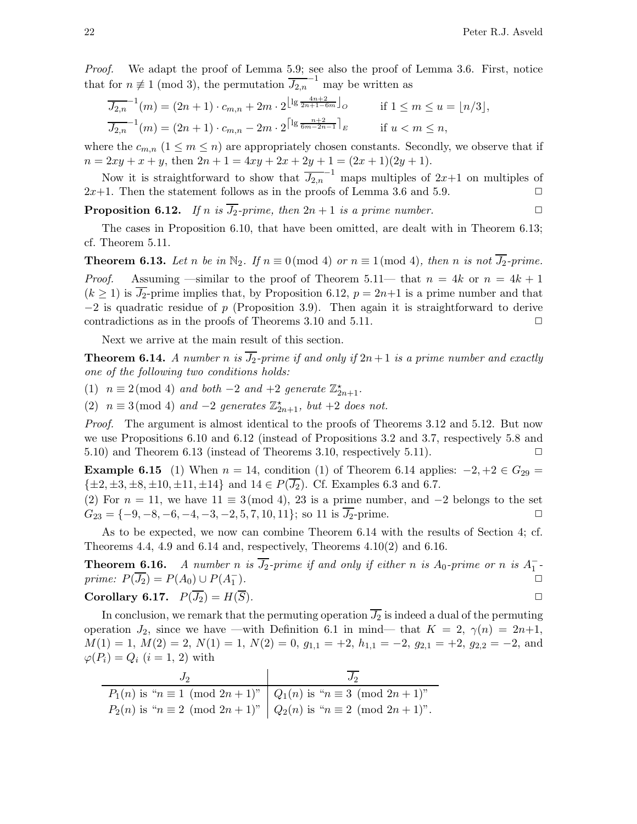Proof. We adapt the proof of Lemma 5.9; see also the proof of Lemma 3.6. First, notice that for  $n \neq 1 \pmod{3}$ , the permutation  $\overline{J_{2,n}}^{-1}$  may be written as

$$
\overline{J_{2,n}}^{-1}(m) = (2n+1) \cdot c_{m,n} + 2m \cdot 2^{\lfloor \lg \frac{4n+2}{2n+1-6m} \rfloor} o \qquad \text{if } 1 \le m \le u = \lfloor n/3 \rfloor,
$$
  

$$
\overline{J_{2,n}}^{-1}(m) = (2n+1) \cdot c_{m,n} - 2m \cdot 2^{\lceil \lg \frac{n+2}{6m-2n-1} \rceil} E \qquad \text{if } u < m \le n,
$$

where the  $c_{m,n}$   $(1 \leq m \leq n)$  are appropriately chosen constants. Secondly, we observe that if  $n = 2xy + x + y$ , then  $2n + 1 = 4xy + 2x + 2y + 1 = (2x + 1)(2y + 1)$ .

Now it is straightforward to show that  $\overline{J_{2,n}}^{-1}$  maps multiples of  $2x+1$  on multiples of  $2x+1$ . Then the statement follows as in the proofs of Lemma 3.6 and 5.9.  $\Box$ 

**Proposition 6.12.** If n is  $\overline{J_2}$ -prime, then  $2n + 1$  is a prime number.

The cases in Proposition 6.10, that have been omitted, are dealt with in Theorem 6.13; cf. Theorem 5.11.

**Theorem 6.13.** Let n be in  $\mathbb{N}_2$ . If  $n \equiv 0 \pmod{4}$  or  $n \equiv 1 \pmod{4}$ , then n is not  $\overline{J_2}$ -prime. *Proof.* Assuming —similar to the proof of Theorem 5.11— that  $n = 4k$  or  $n = 4k + 1$  $(k \ge 1)$  is  $\overline{J_2}$ -prime implies that, by Proposition 6.12,  $p = 2n+1$  is a prime number and that  $-2$  is quadratic residue of p (Proposition 3.9). Then again it is straightforward to derive contradictions as in the proofs of Theorems 3.10 and 5.11.  $\Box$ 

Next we arrive at the main result of this section.

**Theorem 6.14.** A number n is  $\overline{J_2}$ -prime if and only if  $2n+1$  is a prime number and exactly one of the following two conditions holds:

(1)  $n \equiv 2 \pmod{4}$  and both -2 and +2 generate  $\mathbb{Z}_{2n+1}^{\star}$ .

(2)  $n \equiv 3 \pmod{4}$  and  $-2$  generates  $\mathbb{Z}_{2n+1}^{\star}$ , but  $+2$  does not.

Proof. The argument is almost identical to the proofs of Theorems 3.12 and 5.12. But now we use Propositions 6.10 and 6.12 (instead of Propositions 3.2 and 3.7, respectively 5.8 and 5.10) and Theorem 6.13 (instead of Theorems 3.10, respectively 5.11).  $\Box$ 

**Example 6.15** (1) When  $n = 14$ , condition (1) of Theorem 6.14 applies:  $-2, +2 \in G_{29}$  $\{\pm 2, \pm 3, \pm 8, \pm 10, \pm 11, \pm 14\}$  and  $14 \in P(J_2)$ . Cf. Examples 6.3 and 6.7.

(2) For  $n = 11$ , we have  $11 \equiv 3 \pmod{4}$ , 23 is a prime number, and  $-2$  belongs to the set  $G_{23} = \{-9, -8, -6, -4, -3, -2, 5, 7, 10, 11\};$  so 11 is  $\overline{J_2}$ -prime.

As to be expected, we now can combine Theorem 6.14 with the results of Section 4; cf. Theorems 4.4, 4.9 and 6.14 and, respectively, Theorems 4.10(2) and 6.16.

**Theorem 6.16.** A number n is  $\overline{J_2}$ -prime if and only if either n is  $A_0$ -prime or n is  $A_1^-$ prime:  $P(\overline{J_2}) = P(A_0) \cup P(A_1^-)$ ).  $\square$ 

**Corollary 6.17.** 
$$
P(\overline{J_2}) = H(\overline{S}).
$$

In conclusion, we remark that the permuting operation  $\overline{J_2}$  is indeed a dual of the permuting operation  $J_2$ , since we have —with Definition 6.1 in mind— that  $K = 2$ ,  $\gamma(n) = 2n+1$ ,  $M(1) = 1, M(2) = 2, N(1) = 1, N(2) = 0, g_{1,1} = +2, h_{1,1} = -2, g_{2,1} = +2, g_{2,2} = -2, \text{ and}$  $\varphi(P_i) = Q_i$   $(i = 1, 2)$  with

| $P_1(n)$ is " $n \equiv 1 \pmod{2n+1}$ "   $Q_1(n)$ is " $n \equiv 3 \pmod{2n+1}$ " |                                                                                    |
|-------------------------------------------------------------------------------------|------------------------------------------------------------------------------------|
|                                                                                     | $P_2(n)$ is " $n \equiv 2 \pmod{2n+1}$ " $Q_2(n)$ is " $n \equiv 2 \pmod{2n+1}$ ". |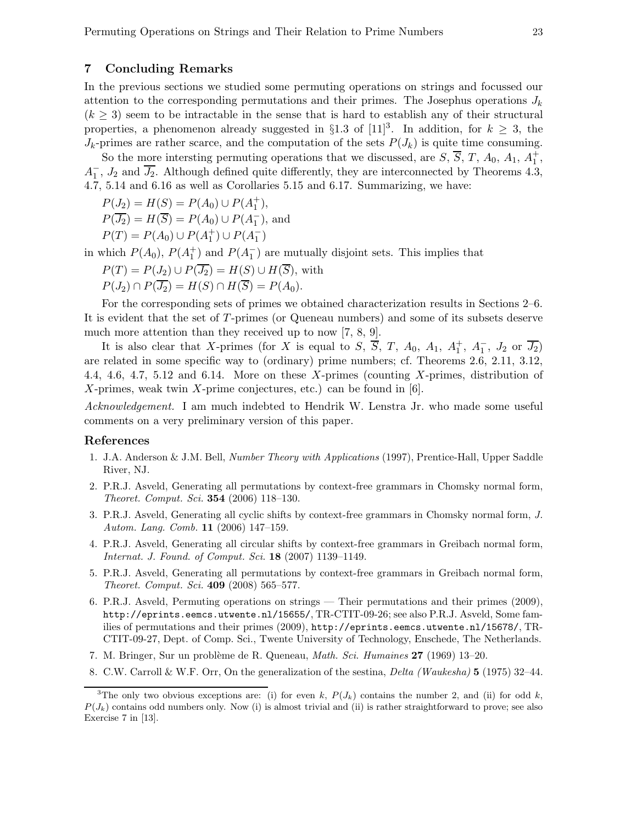#### 7 Concluding Remarks

In the previous sections we studied some permuting operations on strings and focussed our attention to the corresponding permutations and their primes. The Josephus operations  $J_k$  $(k \geq 3)$  seem to be intractable in the sense that is hard to establish any of their structural properties, a phenomenon already suggested in §1.3 of [11]<sup>3</sup>. In addition, for  $k \geq 3$ , the  $J_k$ -primes are rather scarce, and the computation of the sets  $P(J_k)$  is quite time consuming.

So the more intersting permuting operations that we discussed, are  $S, \overline{S}, T, A_0, A_1, A_1^+,$  $A_1^-, J_2$  and  $\overline{J_2}$ . Although defined quite differently, they are interconnected by Theorems 4.3, 4.7, 5.14 and 6.16 as well as Corollaries 5.15 and 6.17. Summarizing, we have:

$$
P(J_2) = H(S) = P(A_0) \cup P(A_1^+),
$$

$$
P(\overline{J_2}) = H(\overline{S}) = P(A_0) \cup P(A_1^-), \text{ and}
$$

$$
P(T) = P(A_0) \cup P(A_1^+) \cup P(A_1^-)
$$

in which  $P(A_0)$ ,  $P(A_1^+)$  and  $P(A_1^-)$  are mutually disjoint sets. This implies that

$$
P(T) = P(J_2) \cup P(\overline{J_2}) = H(S) \cup H(\overline{S}),
$$
 with  

$$
P(J_2) \cap P(\overline{J_2}) = H(S) \cap H(\overline{S}) = P(A_0).
$$

For the corresponding sets of primes we obtained characterization results in Sections 2–6. It is evident that the set of T-primes (or Queneau numbers) and some of its subsets deserve much more attention than they received up to now [7, 8, 9].

It is also clear that X-primes (for X is equal to S,  $\overline{S}$ , T,  $A_0$ ,  $A_1$ ,  $A_1^+$ ,  $A_1^-$ ,  $J_2$  or  $\overline{J_2}$ ) are related in some specific way to (ordinary) prime numbers; cf. Theorems 2.6, 2.11, 3.12, 4.4, 4.6, 4.7, 5.12 and 6.14. More on these X-primes (counting X-primes, distribution of X-primes, weak twin X-prime conjectures, etc.) can be found in [6].

Acknowledgement. I am much indebted to Hendrik W. Lenstra Jr. who made some useful comments on a very preliminary version of this paper.

#### References

- 1. J.A. Anderson & J.M. Bell, Number Theory with Applications (1997), Prentice-Hall, Upper Saddle River, NJ.
- 2. P.R.J. Asveld, Generating all permutations by context-free grammars in Chomsky normal form, Theoret. Comput. Sci. 354 (2006) 118–130.
- 3. P.R.J. Asveld, Generating all cyclic shifts by context-free grammars in Chomsky normal form, J. Autom. Lang. Comb. 11 (2006) 147–159.
- 4. P.R.J. Asveld, Generating all circular shifts by context-free grammars in Greibach normal form, Internat. J. Found. of Comput. Sci. 18 (2007) 1139–1149.
- 5. P.R.J. Asveld, Generating all permutations by context-free grammars in Greibach normal form, Theoret. Comput. Sci. 409 (2008) 565–577.
- 6. P.R.J. Asveld, Permuting operations on strings Their permutations and their primes (2009), http://eprints.eemcs.utwente.nl/15655/, TR-CTIT-09-26; see also P.R.J. Asveld, Some families of permutations and their primes (2009), http://eprints.eemcs.utwente.nl/15678/, TR-CTIT-09-27, Dept. of Comp. Sci., Twente University of Technology, Enschede, The Netherlands.
- 7. M. Bringer, Sur un problème de R. Queneau, *Math. Sci. Humaines*  $27$  (1969) 13–20.
- 8. C.W. Carroll & W.F. Orr, On the generalization of the sestina, Delta (Waukesha) 5 (1975) 32–44.

<sup>&</sup>lt;sup>3</sup>The only two obvious exceptions are: (i) for even k,  $P(J_k)$  contains the number 2, and (ii) for odd k,  $P(J_k)$  contains odd numbers only. Now (i) is almost trivial and (ii) is rather straightforward to prove; see also Exercise 7 in [13].